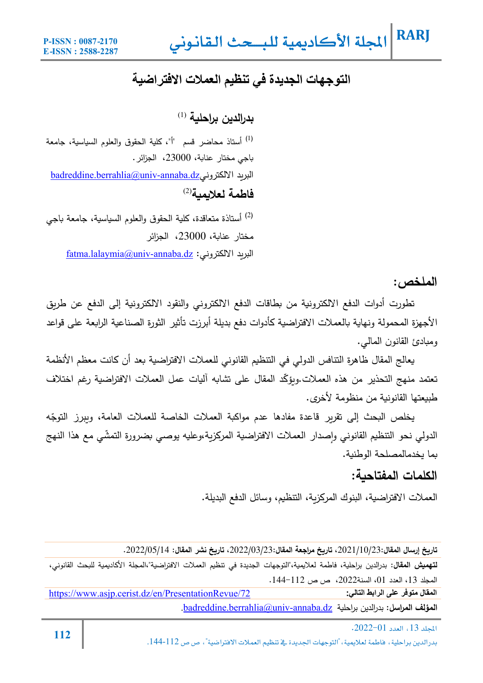### **التوجھات الجدیدة في تنظیم العملات الافتراضیة**

(1) **بدرالدین براحلǻة**

أستاذ محاضر قسم "أ"، Ȟلǽة الحقوق والعلوم السǽاسǽة، جامعة (1) Ǽاجي مختار عناǼة، ،23000 الجزائر. badreddine.berrahlia@univ-annaba.dzالبريد الالكتروني (2) **فاطمة لعلاǻمǻة**

أستاذة متعاقدة، Ȟلǽة الحقوق والعلوم السǽاسǽة، جامعة Ǽاجي (2) مختار عناǼة، ،23000 الجزائر fatma.lalaymia@univ-annaba.dz :الالكتروني دȄالبر

**الملخص:**

تطورت أدوات الدفع الالكترونية من بطاقات الدفع الالكتروني والنقود الالكترونية إلى الدفع عن طريق الأجهزة المحمولة ونهاية بالعملات الافتراضية كأدوات دفع بديلة أبرزت تأثير الثورة الصناعية الرابعة على قواعد ومǼادئ القانون المالي.

يعالج المقال ظاهرة التنافس الدولي في التنظيم القانوني للعملات الافتراضية بعد أن كانت معظم الأنظمة تعتمد منهج التحذير من هذه العملات وبؤكّد المقال على تشابه آليات عمل العملات الافتراضية رغم اختلاف طبيعتها القانونية من منظومة لأخرى.

خلص البحث إلى تقرير قاعدة مفادها عدم مواكبة العملات الخاصة للعملات العامة، ويبرز التوجّه الدولي نحو التنظيم القانوني وإصدار العملات الافتراضية المركزية،وعليه يوصـي بضرورة التمشّي مع هذا النـهج بما يخدمالمصلحة الوطنية.

#### **الكلمات المفتاحǻة:**

العملات الافتراضية، البنوك المركزبة، التنظيم، وسائل الدفع البديلة.

**تارȂخ إرسال المقال**،2021/10/23**: تارȂخ مراجعة المقال**،2022/03/23**: تارȂخ نشر المقال:** .2022/05/14

**لتهمǻش المقال:** بدرالدین براحلǽة، فاطمة لعلاǽمǽة**،**"التوجهات الجدیدة في تنظǽم العملات الافتراضǽة"،المجلة الأكادǽمǽة للǼحث القانوني، المجلد ،13 العدد ،01 السنة،2022 ص ص .144-112

https://www.asjp.cerist.dz/en/PresentationRevue/72 **:التالي الرابط على متوفر المقال** .badreddine.berrahlia@univ-annaba.dz ةǽبراحل بدرالدین :**المراسل المؤلف**

**<sup>112</sup>** .2022-01א،<sup>13</sup> א بدرالدين براحلية، فاطمة لعلايمية، "التوجهات الجديدة في تنظيم العملات الافتراضية"، ص ص 112-144.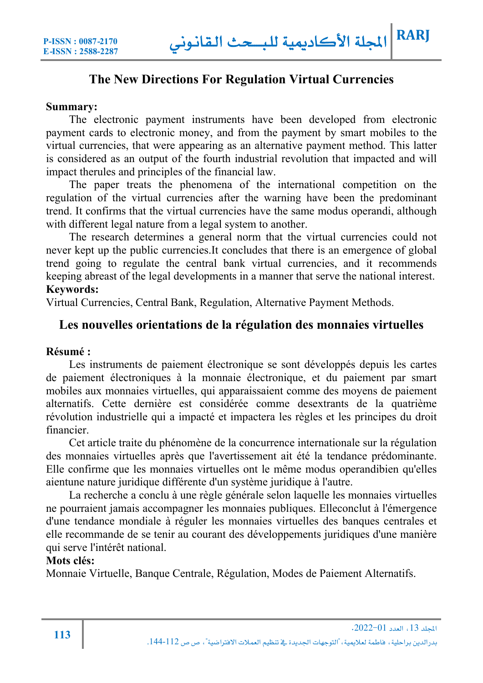#### **The New Directions For Regulation Virtual Currencies**

#### **Summary:**

The electronic payment instruments have been developed from electronic payment cards to electronic money, and from the payment by smart mobiles to the virtual currencies, that were appearing as an alternative payment method. This latter is considered as an output of the fourth industrial revolution that impacted and will impact therules and principles of the financial law.

The paper treats the phenomena of the international competition on the regulation of the virtual currencies after the warning have been the predominant trend. It confirms that the virtual currencies have the same modus operandi, although with different legal nature from a legal system to another.

The research determines a general norm that the virtual currencies could not never kept up the public currencies.It concludes that there is an emergence of global trend going to regulate the central bank virtual currencies, and it recommends keeping abreast of the legal developments in a manner that serve the national interest. **Keywords:** 

Virtual Currencies, Central Bank, Regulation, Alternative Payment Methods.

#### **Les nouvelles orientations de la régulation des monnaies virtuelles**

#### **Résumé :**

Les instruments de paiement électronique se sont développés depuis les cartes de paiement électroniques à la monnaie électronique, et du paiement par smart mobiles aux monnaies virtuelles, qui apparaissaient comme des moyens de paiement alternatifs. Cette dernière est considérée comme desextrants de la quatrième révolution industrielle qui a impacté et impactera les règles et les principes du droit financier.

Cet article traite du phénomène de la concurrence internationale sur la régulation des monnaies virtuelles après que l'avertissement ait été la tendance prédominante. Elle confirme que les monnaies virtuelles ont le même modus operandibien qu'elles aientune nature juridique différente d'un système juridique à l'autre.

La recherche a conclu à une règle générale selon laquelle les monnaies virtuelles ne pourraient jamais accompagner les monnaies publiques. Elleconclut à l'émergence d'une tendance mondiale à réguler les monnaies virtuelles des banques centrales et elle recommande de se tenir au courant des développements juridiques d'une manière qui serve l'intérêt national.

#### **Mots clés:**

Monnaie Virtuelle, Banque Centrale, Régulation, Modes de Paiement Alternatifs.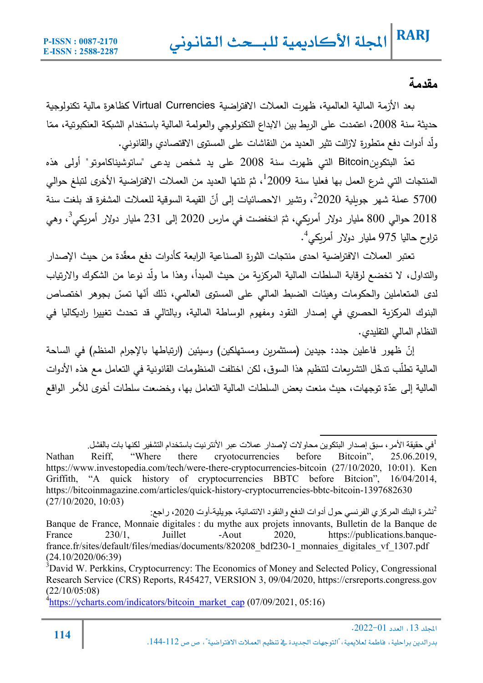### **مقدمة**

بعد الأزمة المالية العالمية، ظهرت العملات الافتراضية Virtual Currencies كظاهرة مالية تكنولوجية حديثة سنة 2008، اعتمدت على الربط بين الابداع التكنولوجي والعولمة المالية باستخدام الشبكة العنكبوتية، ممّا ولّد أدوات دفع متطورة لازالت تثیر العدید من النقاشات على المستوى الاقتصادي والقانوني.

تعدّ البتكوینBitcoin التي ظهرت سنة 2008 على ید شخص یدعى "ساتوشیناكاموتو" أولى هذه المنتجات التي شرع العمل بها فعليا سنة 2009 ، ثمّ تلتها العديد من العملات الافتراضية الأخرى لتبلغ حوالي 5700 عملة شهر جويلية 2020<sup>2</sup>، وتشير الاحصائيات إلى أنّ القيمة السوقية للعملات المشفرة قد بلغت سنة 2018 حوالي 800 مليار دولار أمريكي، ثمّ انخفضت في مارس 2020 إلى 231 مليار دولار أمريكي<sup>3</sup>، وهي تراوح حاليا 975 مليار دولار أمربكي<sup>4</sup>.

تعتبر العملات الافتراضية احدى منتجات الثورة الصناعية الرابعة كأدوات دفع معقدة من حيث الإصدار والتداول، لا تخضع لرقابة السلطات المالية المركزية من حيث المبدأ، وهذا ما ولّد نوعا من الشكوك والارتياب لدى المتعاملين والحكومات وهيئات الضبط المالي على المستوى العالمي، ذلك أنّها تمسّ بجوهر اختصاص البنوك المركزبة الحصري في إصدار النقود ومفهوم الوساطة المالية، وبالتالي قد تحدث تغییرا رادیكالیا في النظام المالي التقليدي.

إنّ ظهور فاعلين جدد: جيدين (مستثمرين ومستهلكين) وسيئين (ارتباطها بالإجرام المنظم) في الساحة المالية تطلُّب تدخّل التشريعات لتنظيم هذا السوق، لكن اختلفت المنظومات القانونية في التعامل مع هذه الأدوات المالية إلى عدّة توجهات، حيث منعت بعض السلطات المالية التعامل بها، وخضعت سلطات أخرى للأمر الواقع

في حقیقة الأمر، سبق إصدار البتكوین محاولات لإصدار عملات عبر الأنترنیت باستخدام التشفیر لكنھا بات بالفشل. <sup>1</sup>

Nathan Reiff, "Where there cryotocurrencies before Bitcoin", 25.06.2019, https://www.investopedia.com/tech/were-there-cryptocurrencies-bitcoin (27/10/2020, 10:01). Ken Griffith, "A quick history of cryptocurrencies BBTC before Bitcion", 16/04/2014, https://bitcoinmagazine.com/articles/quick-history-cryptocurrencies-bbtc-bitcoin-1397682630 (27/10/2020, 10:03)

نشرة البنك المركزي الفرنسي حول أدوات الدفع والنقود الائتمانیة، جویلیة-أوت ،2020 راجع: <sup>2</sup> Banque de France, Monnaie digitales : du mythe aux projets innovants, Bulletin de la Banque de France 230/1, Juillet -Aout 2020, https://publications.banquefrance.fr/sites/default/files/medias/documents/820208\_bdf230-1\_monnaies\_digitales\_vf\_1307.pdf (24.10/2020/06:39)

 $A<sup>4</sup>$ https://ycharts.com/indicators/bitcoin\_market\_cap (07/09/2021, 05:16)

 $3$ David W. Perkkins, Cryptocurrency: The Economics of Money and Selected Policy, Congressional Research Service (CRS) Reports, R45427, VERSION 3, 09/04/2020, https://crsreports.congress.gov (22/10/05:08)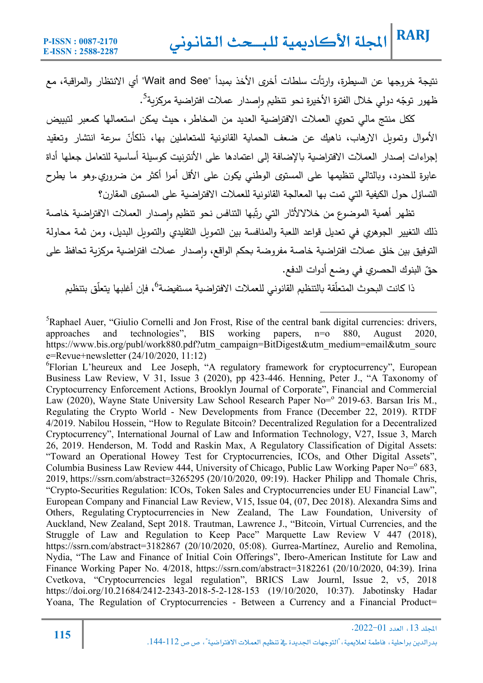نتیجة خروجها عن السǽطرة، وارتأت سلطات أخرȐ الأخذ Ǽمبدأ "See and Wait "أȑ الانتظار والمراقǼة، مع ظهور توجّه دولي خلال الفترة الأخيرة نحو تتظيم وإصدار عملات افتراضية مركزية<sup>5</sup>.

ككل منتج مالي تحوي العملات الافتراضية العدید من المخاطر ، حیث یمكن استعمالها كمعبر لتبییض الأموال وتمويل الارهاب، ناهيك عن ضعف الحماية القانونية للمتعاملين بها، ذلكأنّ سرعة انتشار وتعقيد إجراءات إصدار العملات الافتراضية بالإضافة إلى اعتمادها على الأنترنيت كوسيلة أساسية للتعامل جعلها أداة عابرة للحدود، وبالتالي تنظيمها على المستوى الوطني يكون على الأقل أمرا أكثر من ضروري.وهو ما يطرح التساؤل حول الكيفية التي تمت بها المعالجة القانونية للعملات الافتراضية على المستوى المقارن؟

تظهر أهمية الموضوع من خلالالأثار التي رتّبها التنافس نحو تنظيم وإصدار العملات الافتراضية خاصة ذلك التغییر الجوهري في تعدیل قواعد اللعبة والمنافسة بین التمویل التقلیدي والتمویل البدیل، ومن ثمة محاولة التوفيق بين خلق عملات افتراضية خاصة مفروضة بحكم الواقع، وإصدار عملات افتراضية مركزية تحافظ على حقّ البنوك الحصري في وضع أدوات الدفع.

ذا كانت البحوث المتعلّقة بالتنظيم القانوني للعملات الافتراضية مستفيضة<sup>6</sup>، فإن أغلبها يتعلّق بتنظيم

<sup>5</sup>Raphael Auer, "Giulio Cornelli and Jon Frost, Rise of the central bank digital currencies: drivers, approaches and technologies", BIS working papers, n=o 880, August 2020, https://www.bis.org/publ/work880.pdf?utm\_campaign=BitDigest&utm\_medium=email&utm\_sourc e=Revue+newsletter (24/10/2020, 11:12)

<sup>6</sup>Florian L'heureux and Lee Joseph, "A regulatory framework for cryptocurrency", European Business Law Review, V 31, Issue 3 (2020), pp 423-446. Henning, Peter J., "A Taxonomy of Cryptocurrency Enforcement Actions, Brooklyn Journal of Corporate", Financial and Commercial Law (2020), Wayne State University Law School Research Paper No=<sup>o</sup> 2019-63. Barsan Iris M., Regulating the Crypto World - New Developments from France (December 22, 2019). RTDF 4/2019. Nabilou Hossein, "How to Regulate Bitcoin? Decentralized Regulation for a Decentralized Cryptocurrency", International Journal of Law and Information Technology, V27, Issue 3, March 26, 2019. Henderson, M. Todd and Raskin Max, A Regulatory Classification of Digital Assets: "Toward an Operational Howey Test for Cryptocurrencies, ICOs, and Other Digital Assets", Columbia Business Law Review 444, University of Chicago, Public Law Working Paper No= $\degree$  683, 2019, https://ssrn.com/abstract=3265295 (20/10/2020, 09:19). Hacker Philipp and Thomale Chris, "Crypto-Securities Regulation: ICOs, Token Sales and Cryptocurrencies under EU Financial Law", European Company and Financial Law Review, V15, Issue 04, (07, Dec 2018). Alexandra Sims and Others, Regulating Cryptocurrencies in New Zealand, The Law Foundation, University of Auckland, New Zealand, Sept 2018. Trautman, Lawrence J., "Bitcoin, Virtual Currencies, and the Struggle of Law and Regulation to Keep Pace" Marquette Law Review V 447 (2018), https://ssrn.com/abstract=3182867 (20/10/2020, 05:08). Gurrea-Martínez, Aurelio and Remolina, Nydia, "The Law and Finance of Initial Coin Offerings", Ibero-American Institute for Law and Finance Working Paper No. 4/2018, https://ssrn.com/abstract=3182261 (20/10/2020, 04:39). Irina Cvetkova, "Cryptocurrencies legal regulation", BRICS Law Journl, Issue 2, v5, 2018 https://doi.org/10.21684/2412-2343-2018-5-2-128-153 (19/10/2020, 10:37). Jabotinsky Hadar Yoana, The Regulation of Cryptocurrencies - Between a Currency and a Financial Product=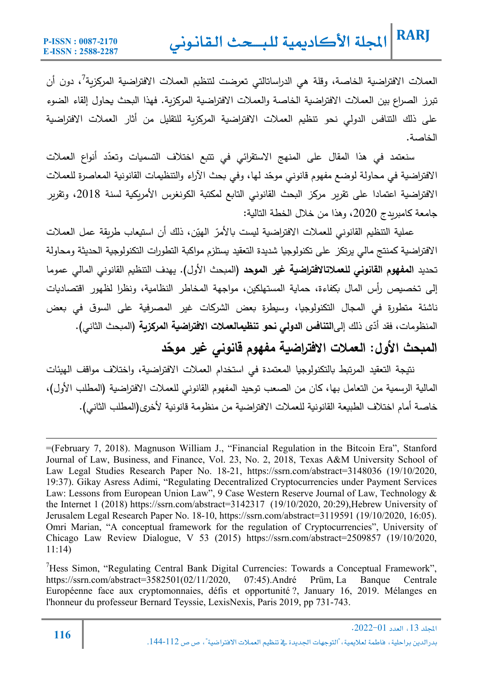العملات الافتراضية الخاصة، وقلة هي الدراساتالتي تعرضت لتنظيم العملات الافتراضية المركزية<sup>7</sup>، دون أن تبرز الصراع بين العملات الافتراضية الخاصة والعملات الافتراضية المركزبة. فهذا البحث يحاول إلقاء الضوء على ذلك التنافس الدولي نحو تنظيم العملات الافتراضية المركزبة للتقليل من أثار العملات الافتراضية الخاصة.

سنعتمد في هذا المقال على المنهج الاستقرائي في تتبع اختلاف التسميات وتعدّد أنواع العملات الافتراضية في محاولة لوضع مفهوم قانوني موحّد لها، وفي بحث الآراء والتنظيمات القانونية المعاصرة للعملات الافتراضية اعتمادا على تقربر مركز البحث القانوني التابع لمكتبة الكونغرس الأمريكية لسنة 2018، وتقربر جامعة كامبريدج 2020، وهذا من خلال الخطة التالية:

عملية التنظيم القانوني للعملات الافتراضية ليست بالأمرّ الهيّن، ذلك أن استيعاب طريقة عمل العملات الافتراضية كمنتج مالي یرتكز على تكنولوجيا شدیدة التعقید يستلزم مواكبة التطورات التكنولوجية الحدیثة ومحاولة تحدید **المفهوم القانوني للعملاتالافتراضǻة غیر الموحد** (المǼحث الأول). یهدف التنظǽم القانوني المالي عموما إلى تخصيص رأس المال بكفاءة، حماية المستهلكين، مواجهة المخاطر النظامية، ونظرا لظهور اقتصاديات ناشئة متطورةٍ في المجال التكنولوجيا، وسيطرةٍ بعض الشركات غير المصرفية على السوق في بعض المنظومات، فقد أدّى ذلك إلىا**لتنافس الدولي نحو تنظيمالعملات الافتراضية المركزيـة (المبحث الثاني).** 

**العملات الافتراضǻة مفهوم قانوني غیر موح ّ المǺحث الأول: د**

نتیجة التعقید المرتبط بالتكنولوجیا المعتمدة في استخدام العملات الافتراضية، واختلاف مواقف الهیئات المالية الرسمية من التعامل بها، كان من الصعب توحيد المفهوم القانوني للعملات الافتراضية (المطلب الأول)، خاصـة أمام اختلاف الطبيعة القانونية للعملات الافتراضية من منظومة قانونية لأخرى(المطلب الثاني).

<sup>7</sup>Hess Simon, "Regulating Central Bank Digital Currencies: Towards a Conceptual Framework", https://ssrn.com/abstract=3582501(02/11/2020, 07:45).André Prüm, La Banque Centrale Européenne face aux cryptomonnaies, défis et opportunité ?, January 16, 2019. Mélanges en l'honneur du professeur Bernard Teyssie, LexisNexis, Paris 2019, pp 731-743.

<sup>=(</sup>February 7, 2018). Magnuson William J., "Financial Regulation in the Bitcoin Era", Stanford Journal of Law, Business, and Finance, Vol. 23, No. 2, 2018, Texas A&M University School of Law Legal Studies Research Paper No. 18-21, https://ssrn.com/abstract=3148036 (19/10/2020, 19:37). Gikay Asress Adimi, "Regulating Decentralized Cryptocurrencies under Payment Services Law: Lessons from European Union Law", 9 Case Western Reserve Journal of Law, Technology & the Internet 1 (2018) https://ssrn.com/abstract=3142317 (19/10/2020, 20:29),Hebrew University of Jerusalem Legal Research Paper No. 18-10, https://ssrn.com/abstract=3119591 (19/10/2020, 16:05). Omri Marian, "A conceptual framework for the regulation of Cryptocurrencies", University of Chicago Law Review Dialogue, V 53 (2015) https://ssrn.com/abstract=2509857 (19/10/2020, 11:14)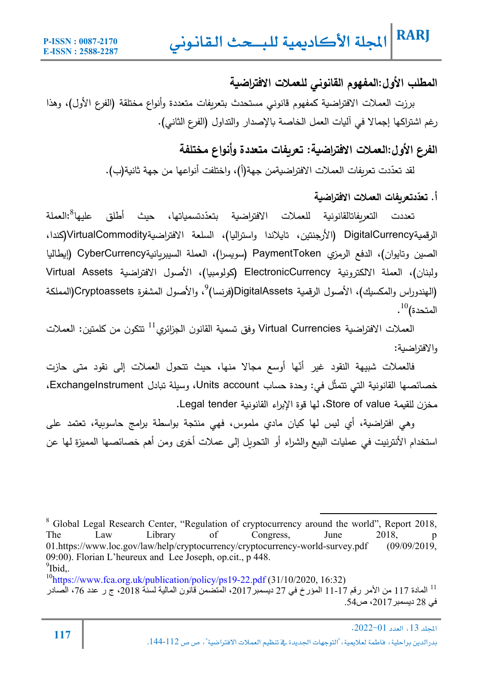### **المطلب الأول:المفهوم القانوني للعملات الافتراضǻة**

برزت العملات الافتراضية كمفهوم قانوني مستحدث بتعريفات متعددة وأنواع مختلقة (الفرع الأول)، وهذا رغم اشتراكها إجمالا في آليات العمل الخاصة بالإصدار والتداول (الفرع الثاني).

### **الفرع الأول:العملات الافتراضǻة: تعرȂفات متعددة وأنواع مختلفة**

لقد تعدّدت تعريفات العملات الافتراضيةمن جهة(أ)، واختلفت أنواعها من جهة ثانية(ب).

#### **تعد تعرȂفات العملات الافتراضǻة ّ أ. د**

تعددت التعربفاتالقانونية للعملات الافتراضية بتعدّدتسمياتها، حبث أطلق علىها<sup>8</sup>:العملة الرقمǽةDigitalCurrency) الأرجنتین، تاǽلاندا واسترالǽا)، السلعة الافتراضǽةVirtualCommodity)Ȟندا، الصین وتایوان)، الدفع الرمزȑ PaymentToken) سوǽسرا)، العملة السیبرȄانǽةCyberCurrency) إǽطالǽا ولبنان)، العملة الالكترونية ElectronicCurrency (كولومبيا)، الأصول الافتراضية Virtual Assets الهندوراس والمكسيك)، الأصول الرقمية DigitalAssets(فرنسا)<sup>9</sup>، والأصول المشفرة Cryptoassets(المملكة  $\cdot^{10}$ المتحدة)

العملات الافتراضية Virtual Currencies وفق تسمية القانون الجزائري $^{11}$  تتكون من كلمتين: العملات والافتراضǽة:

فالعملات شبیهة النقود غیر أنّها أوسع مجالا منها، حیث تتحول العملات إلى نقود متى حازت خصائصها القانونية التي تتمثّل في: وحدة حساب Units account، وسيلة تبادل ExchangeInstrument، مخزن للقيمة Store of value، لها قوة الإبراء القانونية Legal tender.

وهي افتراضية، أي ليس لها كيان مادي ملموس، فهي منتجة بواسطة برامج حاسوبية، تعتمد على استخدام الأنترنيت في عمليات البيع والشراء أو التحويل إلى عملات أخرى ومن أهم خصائصها المميزة لها عن

<sup>&</sup>lt;sup>8</sup> Global Legal Research Center, "Regulation of cryptocurrency around the world", Report 2018, The Law Library of Congress, June 2018, p 01.https://www.loc.gov/law/help/cryptocurrency/cryptocurrency-world-survey.pdf (09/09/2019, 09:00). Florian L'heureux and Lee Joseph, op.cit., p 448.  $^{9}$ Ibid,.

 $10<sup>10</sup>$ https://www.fca.org.uk/publication/policy/ps19-22.pdf (31/10/2020, 16:32)

المادة 117 من الأمر رقم 17-11 المؤرخ في 27 ديسمبر2017، المتضمن قانون المالية لسنة 2018، ج ر عدد 76، الصادر  $^{11}$ في 28 دیسمبر،2017 ص.54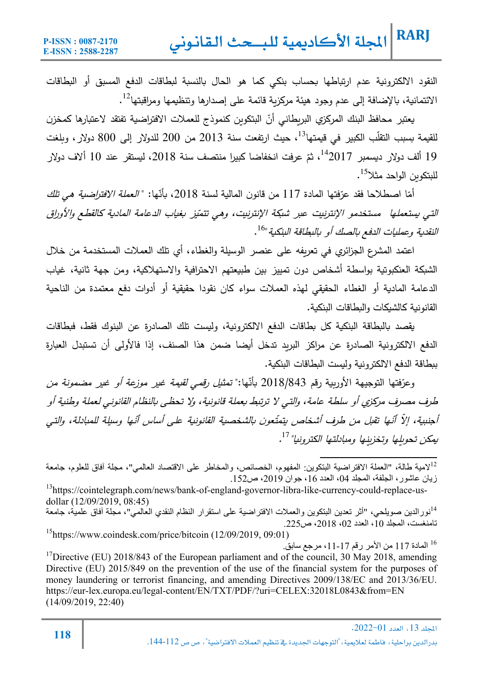النقود الالكترونية عدم ارتباطها بحساب بنكي كما هو الحال بالنسبة لبطاقات الدفع المسبق أو البطاقات  $^{12}$ الائتمانية، بالإضافة إلى عدم وجود هيئة مركزية قائمة على إصدارها وتنظيمها ومراقبتها  $^{\rm 1}$ .

يعتبر محافظ البنك المركزي البريطاني أنّ البتكوين كنموذج للعملات الافتراضية تفتقد لاعتبارها كمخزن لقيمة بسبب التقلّب الكبير في قيمتها $^{13}$ ، حيث ارتفعت سنة 2013 من 200 للدولار إلى 800 دولار ، وبلغت 19 ألف دولار ديسمبر <sup>14</sup>2017، ثمّ عرفت انخفاضا كبيرا منتصف سنة 2018، ليستقر عند 10 ألاف دولار للبتكوين الواحد مثلا<sup>15</sup>.

*َّةنا اصطلاحا فقد عرّفتها المادة 117 من قانون الم*الية لسنة 2018، بأنّها: "*العملة الافتراضية هي تلك* التي بستعملها مستخدمو الإنترنيت عبر شبكة الإنترنيت، وهي تتميّز بغياب الدعامة المادية كالقطع والأوراق النقدية وعمليات الدفع بالصك أو بالبطاقة البنكية "<sup>16</sup>.

اعتمد المشرع الجزائرȑ في تعرȄفه على عنصر الوسیلة والغطاء، أȑ تلك العملات المستخدمة من خلال الشبكة العنكبوتية بواسطة أشخاص دون تمييز بين طبيعتهم الاحترافية والاستهلاكية، ومن جهة ثانية، غياب الدعامة المادية أو الغطاء الحقيقي لهذه العملات سواء كان نقودا حقيقية أو أدوات دفع معتمدة من الناحية القانونية كالشيكات والبطاقات البنكية.

يقصد بالبطاقة البنكية كل بطاقات الدفع الالكترونية، وليست تلك الصادرة عن البنوك فقط، فبطاقات الدفع الالكترونǽة الصادرة عن مراكز البرȄد تدخل أǽضا ضمن هذا الصنف، إذا فالأولى أن تستبدل العǼارة ببطاقة الدفع الالكترونية وليست البطاقات البنكية.

وعرّفتها التوجيهة الأوربية رقم 843/843 9نأنّها:" *تمثيل رقمي لقيمة غير موزعة أو غير مضمونة من* طرف مصرف مركزي أو سلطة عامة، والتي لا ترتبط بعملة قانونية، ولا تحظى بالنظام القانوني لعملة وطنية أو أجنبية، إلاّ أنّها تقبل من طرف أشخاص يتمتّعون بالشخصية القانونية على أساس أنّها وسيلة للمبادلة، والتي بمكن تحويلها وتخزينها ومبادلتها الكترونيا" <sup>17</sup>.

لامية طالة، "العملة الافتراضية البتكوين: المفهوم، الخصائص، والمخاطر على الاقتصاد العالمي"، مجلة أفاق للعلوم، جامعة زيان عاشور، الجلفة، المجلد 04، العدد 16، جوان 2019، ص152.

<sup>13</sup>https://cointelegraph.com/news/bank-of-england-governor-libra-like-currency-could-replace-usdollar (12/09/2019, 08:45)

<sup>14</sup>نور الدین صویلحی، "أثر تعدین البتكوین والعملات الافتراضیة على استقرار النظام النقدي العالمي"، مُجلّة آفاق علمیة، جامعة تامنغست، المجلد 10، العدد 02، 2018، ص225. 15https://www.coindesk.com/price/bitcoin (12/09/2019, 09:01)

المادة 117 من الأمر رقم 17-11، مرجع سابق<sub>.</sub> 1

 $17$ Directive (EU) 2018/843 of the European parliament and of the council, 30 May 2018, amending Directive (EU) 2015/849 on the prevention of the use of the financial system for the purposes of money laundering or terrorist financing, and amending Directives 2009/138/EC and 2013/36/EU. https://eur-lex.europa.eu/legal-content/EN/TXT/PDF/?uri=CELEX:32018L0843&from=EN (14/09/2019, 22:40)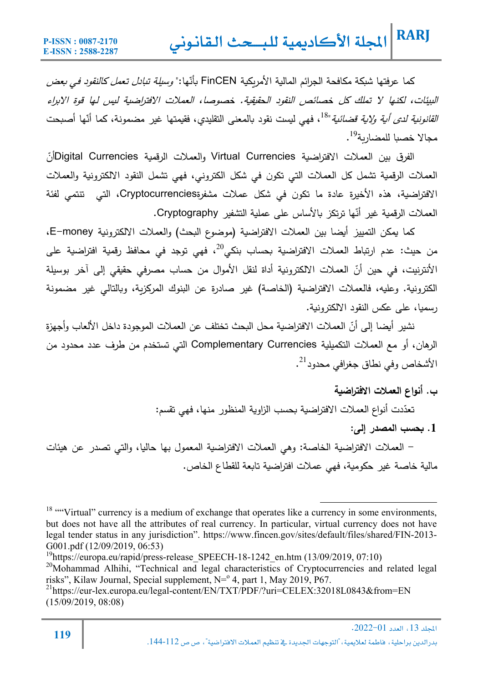كما عرفتها شبكة مكافحة الجرائم المالية الأمريكية FinCEN بأنّها:" *وسيلة تبادل تعمل كالنقود في بعض* البيئات، لكنها لا تملك كل خصائص النقود الحقيقية. خصوصا، العملات الافتراضية ليس لها قوة الابراء *القانونية لدى أية ولاية قضائية*"<sup>18</sup>، فهي ليست نقود بالمعنى التقليدي، فقيمتها غير مضمونة، كما أنّها أصبحت محالا خصيا للمضاربة<sup>19</sup> .

الفرق بين العملات الافتراضية Virtual Currencies والعملات الرقمية Digital Currenciesأنّ العملات الرقمية تشمل كل العملات التي تكون في شكل الكتروني، فهي تشمل النقود الالكترونية والعملات الافتراضǽة، هذه الأخیرة عادة ما تكون في شȞل عملات مشفرةCryptocurrencies، التي تنتمي لفئة العملات الرقمية غیر أنّها ترتكز بالأساس على عملية التشفیر Cryptography.

كما يمكن التمييز أيضا بين العملات الافتراضية (موضوع البحث) والعملات الالكترونية E−money، من حيث: عدم ارتباط العملات الافتراضية بحساب بنكي<sup>20</sup>، فهي توجد في محافظ رقمية افتراضية على الأنترنيت، في حين أنّ العملات الالكترونية أداة لنقل الأموال من حساب مصرفي حقيقي إلى آخر بوسيلة الكترونǽة. وعلǽه، فالعملات الافتراضǽة (الخاصة) غیر صادرة عن البنوك المرȞزȄة، وǼالتالي غیر مضمونة رسمǽا، على عȞس النقود الالكترونǽة.

نشير أيضا إلى أنّ العملات الافتراضية محل البحث تختلف عن العملات الموجودة داخل الألعاب وأجهزة الرهان، أو مع العملات التكمیلǽة Currencies Complementary التي تستخدم من طرف عدد محدود من الأشخاص وفي نطاق جغرافي محدود<sup>21</sup>.

**ب. أنواع العملات الافتراضǻة**

تعدّدت أنواع العملات الافتراضية بحسب الزاوية المنظور منها، فهي تقسم:

**.1 Ǻحسب المصدر إلى:** 

- العملات الافتراضǽة الخاصة: وهي العملات الافتراضǽة المعمول بها حالǽا، والتي تصدر عن هیئات مالية خاصـة غير حكومية، فهي عملات افتراضية تابعة للقطاع الخاص.

 $^{21}$ https://eur-lex.europa.eu/legal-content/EN/TXT/PDF/?uri=CELEX:32018L0843&from=EN (15/09/2019, 08:08)

<sup>&</sup>lt;sup>18</sup> ""Virtual" currency is a medium of exchange that operates like a currency in some environments, but does not have all the attributes of real currency. In particular, virtual currency does not have legal tender status in any jurisdiction". https://www.fincen.gov/sites/default/files/shared/FIN-2013- G001.pdf (12/09/2019, 06:53)

<sup>&</sup>lt;sup>19</sup>https://europa.eu/rapid/press-release SPEECH-18-1242 en.htm (13/09/2019, 07:10)

 $20$ Mohammad Alhihi, "Technical and legal characteristics of Cryptocurrencies and related legal risks", Kilaw Journal, Special supplement,  $N=0.4$ , part 1, May 2019, P67.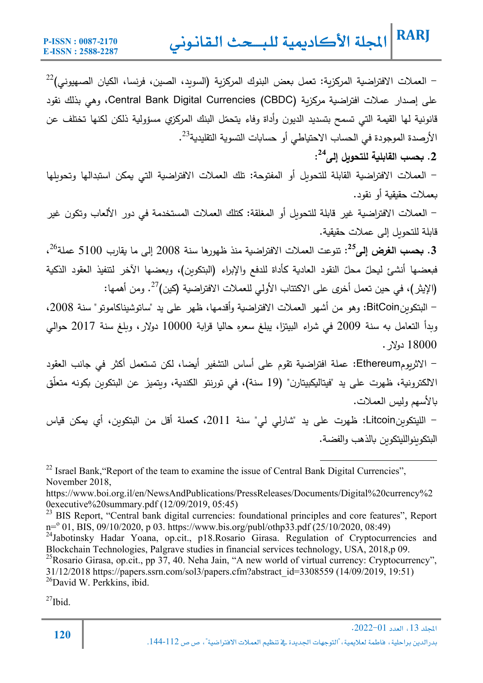$^{22}$  - العملات الافتراضية المركزية: تعمل بعض البنوك المركزية (السويد، الصين، فرنسا، الكيان الصهيوني)  $^{\text{22}}$ على إصدار عملات افتراضǽة مرȞزȄة (CBDC (Currencies Digital Bank Central، وهي بذلك نقود قانونية لمها القيمة التي تسمح بتسديد الديون وأداة وفاء يتحمّل البنك المركزي مسؤولية ذلكن لكنها تختلف عن . الأرصدة الموجودة في الحساب الاحتياطي أو حسابات التسوية التقليدية $^{23}$ .

**: 24 .2 Ǻحسب القابلǻة للتحوȂل إلى**

- العملات الافتراضǽة القابلة للتحوȄل أو المفتوحة: تلك العملات الافتراضǽة التي ǽمȞن استبدالها وتحوȄلها بعملات حقيقية أو نقود.

- العملات الافتراضǽة غیر قابلة للتحوȄل أو المغلقة: Ȟتلك العملات المستخدمة في دور الألعاب وتكون غیر قابلة للتحويل إلى عملات حقيقية.

26 **:** تنوعت العملات الافتراضǽة منذ ظهورها سنة 2008 إلى ما ǽقارب 5100 عملة **<sup>25</sup>** .**3 Ǻحسب الغرض إلى** ، فبعضها أنشئ ليحلّ محلّ النقود العادية كأداة للدفع والإبراء (البتكوين)، وبعضها الآخر لتتفيذ العقود الذكية . ومن أهمها:<sup>27</sup> (الإیثر)، في حین تعمل أخرȐ على الاكتتاب الأولي للعملات الافتراضǽة (Ȟین)

- البتكوȄنBitCoin: وهو من أشهر العملات الافتراضǽة وأقدمها، ظهر على ید "ساتوشیناكاموتو" سنة ،2008 وبدأ التعامل به سنة 2009 في شراء البيتزا، يبلغ سعره حاليا قرابة 10000 دولار ، وبلغ سنة 2017 حوالي 18000 دولار.

- الاثرȄومEthereum: عملة افتراضǽة تقوم على أساس التشفیر أǽضا، لكن تستعمل أكثر في جانب العقود الالكترونية، ظهرت على ید "فیتالیكبیتارن" (19 سنة)، في تورنتو الكندية، وبتمیز عن البتكوبن بكونه متعلّق بالأسهم وليس العملات.

- اللیتكوȄنLitcoin: ظهرت على ید "شارلي لي" سنة ،2011 Ȟعملة أقل من البتكوȄن، أȑ ǽمȞن قǽاس البتكوȄنواللیتكوȄن Ǽالذهب والفضة.

 $^{22}$  Israel Bank, "Report of the team to examine the issue of Central Bank Digital Currencies", November 2018,

https://www.boi.org.il/en/NewsAndPublications/PressReleases/Documents/Digital%20currency%2 0executive%20summary.pdf (12/09/2019, 05:45)

<sup>23</sup> BIS Report, "Central bank digital currencies: foundational principles and core features", Report n=<sup>o</sup> 01, BIS, 09/10/2020, p 03. https://www.bis.org/publ/othp33.pdf (25/10/2020, 08:49)

<sup>24</sup>Jabotinsky Hadar Yoana, op.cit., p18.Rosario Girasa. Regulation of Cryptocurrencies and Blockchain Technologies, Palgrave studies in financial services technology, USA, 2018,p 09.

<sup>25</sup>Rosario Girasa, op.cit., pp 37, 40. Neha Jain, "A new world of virtual currency: Cryptocurrency", 31/12/2018 https://papers.ssrn.com/sol3/papers.cfm?abstract\_id=3308559 (14/09/2019, 19:51)  $^{26}$ David W. Perkkins, ibid.

 $^{27}$ Ibid.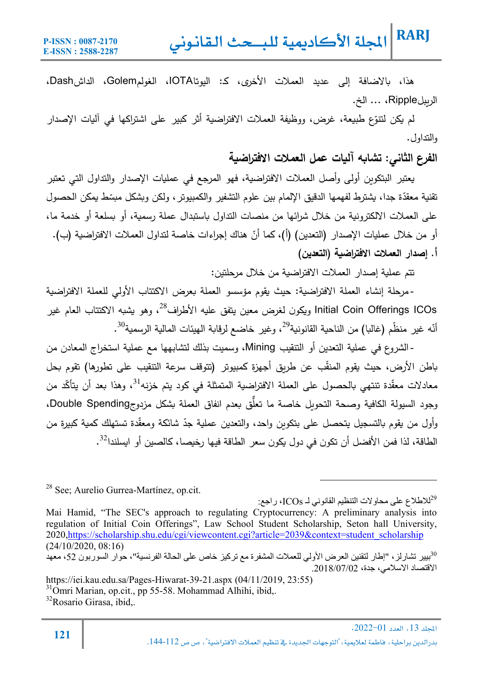هذا، Ǽالاضافة إلى عدید العملات الأخرȐ، Ȟـ: الیوتاIOTA، الغولمGolem، الداشDash، الرȄبلRipple، ... الخ.

لم يكن لتتوّع طبيعة، غرض، ووظيفة العملات الافتراضية أثر كبير على اشتراكها في اليات الإصدار والتداول.

**الفرع الثاني: تشاǺه آلǻات عمل العملات الافتراضǻة** 

ǽعتبر البتكوȄن أولى وأصل العملات الافتراضǽة، فهو المرجع في عملǽات الإصدار والتداول التي تعتبر تقنية معقدّة جدا، يشترط لفهمها الدقيق الإلمام بين علوم التشفير والكمبيوتر ، ولكن وبشكل مبسّط يمكن الحصول على العملات الالكترونية من خلال شرائها من منصات التداول باستبدال عملة رسمية، أو بسلعة أو خدمة ما، أو من خلال عمليات الإصدار (التعدين) (أ)، كما أنّ هناك إجراءات خاصة لتداول العملات الافتراضية (ب). **أ. إصدار العملات الافتراضǻة (التعدین)** 

تتم عملǽة إصدار العملات الافتراضǽة من خلال مرحلتین:

Initial Coin Offerings ICOs ويكون لغرض معين يتفق عليه الأطراف<sup>28</sup>، وهو يشبه الاكتتاب العام غير -مرحلة إنشاء العملة الافتراضية: حيث يقوم مؤسسو العملة بعرض الاكتتاب الأولى للعملة الافتراضية أنّه غير منظّم (غالبا) من الناحية القانونية $^{29}$ ، وغير خاضع لرقابة الهيئات المالية الرسمية $^{10}$ .

- الشروع في عملǽة التعدین أو التنقیب Mining، وسمیت بذلك لتشابهها مع عملǽة استخراج المعادن من باطن الأرض، حیث یقوم المنقّب عن طریق أجهزة كمبیوتر (تتوقف سرعة التنقیب على تطورها) تقوم بحل معادلات معقّدة تنتهي بالحصول على العملة الافتراضية المتمثلة في كود يتم خزنه<sup>31</sup>، وهذا بعد أن يتأكّد من وجود السيولة الكافية وصحة التحويل خاصة ما تعلَّق بعدم انفاق العملة بشكل مزدوجDouble Spending، رأول من يقوم بالتسجيل يتحصل على بتكوين واحد، والتعدين عملية جدّ شائكة ومعقّدة تستهلك كمية كبيرة من الطاقة، لذا فمن الأفضل أن تكون في دول يكون سعر الطاقة فيها رخيصا، كالصين أو ايسلندا<sup>32</sup>.

28 See; Aurelio Gurrea-Martínez, op.cit.

للاطلاع على محاولات التنظیم القانوني لـ ICOs، راجع: $^{29}$ 

Mai Hamid, "The SEC's approach to regulating Cryptocurrency: A preliminary analysis into regulation of Initial Coin Offerings", Law School Student Scholarship, Seton hall University, 2020,https://scholarship.shu.edu/cgi/viewcontent.cgi?article=2039&context=student\_scholarship (24/10/2020, 08:16)

بییر تشارلز، "إطار لتقنین العرض الأولي للعملات المشفرة مع تركیز خاص على الحالة الفرنسیة"، حوار السوربون ،52 معھد <sup>30</sup> الاقتصاد الاسلامي، جدة، .2018/07/02

https://iei.kau.edu.sa/Pages-Hiwarat-39-21.aspx (04/11/2019, 23:55)

31Omri Marian, op.cit., pp 55-58. Mohammad Alhihi, ibid,.

**<sup>121</sup>** .2022-01א،<sup>13</sup> א

<sup>32</sup>Rosario Girasa, ibid,.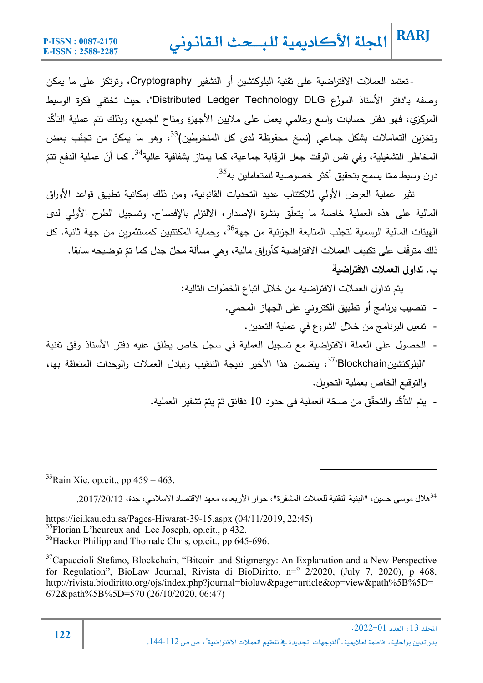- تعتمد العملات الافتراضية على تقنية البلوكتشين أو التشفير Cryptography، وترتكز على ما يمكن رصفه بـ"دفتر الأستاذ الموزّع Distributed Ledger Technology DLG"، حيث تختفي فكرة الوسيط المركزي، فهو دفتر حسابات واسع وعالمي يعمل على ملايين الأجهزة ومتاح للجميع، وبذلك تتم عملية التأكّد رتخزين التعاملات بشكل جماعي (نسخ محفوظة لدى كل المنخرطين)<sup>33</sup>، وهو ما يمكنّ من تجنّب بعض المخاطر التشغيلية، وفي نفس الوقت جعل الرقابة جماعية، كما يمتاز بشفافية عالية<sup>34</sup>. كما أنّ عملية الدفع تتمّ دون وسيط ممّا يسمح بتحقيق أكثر خصوصية للمتعاملين به<sup>35</sup>.

تثیر عملية العرض الأولي للاكتتاب عدید التحدیات القانونیة، ومن ذلك إمكانية تطبیق قواعد الأوراق المالية على هذه العملية خاصة ما يتعلّق بنشرة الإصدار، الالتزام بالإفصاح، وتسجيل الطرح الأولى لدى الـهيئات المالية الرسمية لتجنّب المتابعة الجزائية من جهة<sup>36</sup>، وحماية المكتتبين كمستثمريِن من جهة ثانية. كل ذلك متوقّف على تكييف العملات الافتراضية كأوراق مالية، وهي مسألة محلّ جدل كما تمّ توضيحه سابقا. **ب. تداول العملات الافتراضǻة** 

یتم تداول العملات الافتراضǽة من خلال اتǼاع الخطوات التالǽة:

- تنصیب برنامج أو تطبیȘ الكتروني على الجهاز المحمي.
	- تفعیل البرنامج من خلال الشروع في عملǽة التعدین.
- الحصول على العملة الافتراضية مع تسجيل العملية في سجل خاص يطلق عليه دفتر الأستاذ وفق تقنية البلوكتشینBlockchain"، يتضمن هذا الأخیر نتیجة التنقیب وتبادل العملات والوحدات المتعلقة بها، " والتوقيع الخاص بعملية التحويل.
	- يتم التأكّد والتحقّق من صحّة العملية في حدود 10 دقائق ثمّ يتمّ تشفير العملية.

 $33$ Rain Xie, op.cit., pp 459 – 463.

 $^{34}$ هلال موسى حسين، "البنية التقنية للعملات المشفر ة"، حوار الأربعاء، معهد الاقتصاد الاسلامي، جدة، 2017/20/12 34

https://iei.kau.edu.sa/Pages-Hiwarat-39-15.aspx (04/11/2019, 22:45)  $35$ Florian L'heureux and Lee Joseph, op.cit., p 432. <sup>36</sup>Hacker Philipp and Thomale Chris, op.cit., pp 645-696.

<sup>37</sup>Capaccioli Stefano, Blockchain, "Bitcoin and Stigmergy: An Explanation and a New Perspective for Regulation", BioLaw Journal, Rivista di BioDiritto, n= $\frac{2}{2020}$ , (July 7, 2020), p 468, http://rivista.biodiritto.org/ojs/index.php?journal=biolaw&page=article&op=view&path%5B%5D= 672&path%5B%5D=570 (26/10/2020, 06:47)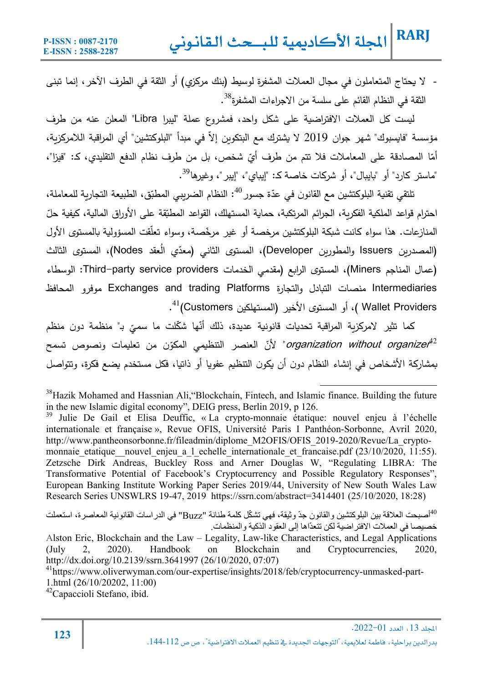- لا يحتاج المتعاملون في مجال العملات المشفرة لوسيط (بنك مركزي) أو الثقة في الطرف الآخر ، إنما تبنى الثقة في النظام القائم على سلسة من الاجراءات المشفرة<sup>38</sup>.

لǽست Ȟل العملات الافتراضǽة على شȞل واحد، فمشروع عملة "لیبرا Libra "المعلن عنه من طرف مؤسسة "فايسبوك" شهر جوان 2019 لا يشترك مع البتكوين إلا في مبدأ "البلوكتشين" أي المراقبة اللامركزية، أمّا المصادقة على المعاملات فلا تتم من طرف أيّ شخص، بل من طرف نظام الدفع التقليدي، كـ: "فيزا"، "ماستر كارد" أو "بايبال"، أو شركات خاصـة كـ: "إيباي"، "إيبر"، وغيرها<sup>39</sup>.

تلتقي تقنية البلوكتشين مع القانون في عدّة جسور <sup>40</sup>: النظام الضريبي المطبّق، الطبيعة التجارية للمعاملة، احترام قواعد الملكية الفكرية، الجرائم المرتكبة، حماية المستهلك، القواعد المطبّقة على الأوراق المالية، كيفية حلّ المنازعات. هذا سواء كانت شبكة البلوكتشين مرخصة أو غير مرخّصة، وسواء تعلّقت المسؤولية بالمستوى الأول (المصدرين Issuers والمطورين Developer)، المستوى الثاني (معدّي العقد Nodes)، المستوى الثالث (عمال المناجم Miners(، المستوȐ الراǼع (مقدمي الخدمات providers service party-Third: الوسطاء Intermediaries منصات التǼادل والتجارة Platforms trading and Exchanges موفرو المحافظ Wallet Providers )، أو المستوى الأخیر (المستهلكین Customers)<sup>41</sup>.

كما تثير لامركزية المراقبة تحديات قانونية عديدة، ذلك أنّها شكّلت ما سميّ بـ" منظمة دون منظم organization without organizer<sup>42</sup> لأنّ العنصر التنظيمي المكوّن من تعليمات ونصوص تسمح بمشاركة الأشخاص في إنشاء النظام دون أن يكون التنظيم عفويا أو ذاتيا، فكل مستخدم يضع فكرة، وتتواصل

<sup>39</sup> Julie De Gail et Elisa Deuffic, « La crypto-monnaie étatique: nouvel enjeu à l'échelle internationale et française », Revue OFIS, Université Paris I Panthéon-Sorbonne, Avril 2020, http://www.pantheonsorbonne.fr/fileadmin/diplome\_M2OFIS/OFIS\_2019-2020/Revue/La\_cryptomonnaie etatique nouvel enjeu a l echelle internationale et francaise.pdf (23/10/2020, 11:55). Zetzsche Dirk Andreas, Buckley Ross and Arner Douglas W, "Regulating LIBRA: The Transformative Potential of Facebook's Cryptocurrency and Possible Regulatory Responses", European Banking Institute Working Paper Series 2019/44, University of New South Wales Law Research Series UNSWLRS 19-47, 2019 https://ssrn.com/abstract=3414401 (25/10/2020, 18:28)

أصبحت العلاقة بين البلوكتشين والقانون جدّ وثيقة، فهي تشكّل كلمة طنانة "Buzz" في الدر اسات القانونية المعاصرة، استعملت خصيصا في العملات الافتر اضية لكن تتعدّاها إلى العقود الذكية والمنظمات.

Alston Eric, Blockchain and the Law – Legality, Law-like Characteristics, and Legal Applications (July 2, 2020). Handbook on Blockchain and Cryptocurrencies, 2020, http://dx.doi.org/10.2139/ssrn.3641997 (26/10/2020, 07:07)

 $42$ Capaccioli Stefano, ibid.

<sup>&</sup>lt;sup>38</sup>Hazik Mohamed and Hassnian Ali, "Blockchain, Fintech, and Islamic finance. Building the future in the new Islamic digital economy", DEIG press, Berlin 2019, p 126.

<sup>&</sup>lt;sup>41</sup>https://www.oliverwyman.com/our-expertise/insights/2018/feb/cryptocurrency-unmasked-part-1.html (26/10/20202, 11:00)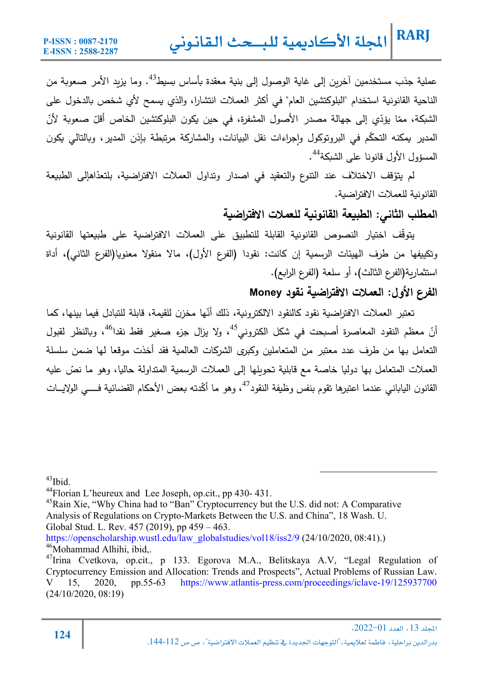عملية جذب مستخدمين أخرين إلى غاية الوصول إلى بنية معقدة بأساس بسيط<sup>43</sup>. وما يزبد الأمر صعوبة من الناحية القانونية استخدام "البلوكتشين العام" في أكثر العملات انتشارا، والذي يسمح لأي شخص بالدخول على الشبكة، ممّا يؤدّي إلى جهالة مصدر الأصول المشفرة، في حين يكون البلوكتشين الخاص أقلّ صعوبة لأنّ المدير يمكنه التحكّم في البروتوكول وإجراءات نقل البيانات، والمشاركة مرتبطة بإذن المدير، وبالتالي يكون المسؤول الأول قانونا على الشبكة<sup>44</sup>.

لم يتوّقف الاختلاف عند التنوع والتعقيد في اصدار وتداول العملات الافتراضية، بلتعدّاهإلى الطبيعة القانونية للعملات الافتراضية.

### **المطلب الثاني: الطبǻعة القانونǻة للعملات الافتراضǻة**

یتوقّف اختیار النصوص القانونیة القابلة للتطبیق على العملات الافتراضیة على طبیعتها القانونیة وتكييفها من طرف الهيئات الرسمية إن كانت: نقودا (الفرع الأول)، مالا منقولا معنويا(الفرع الثاني)، أداة استثمارِبة(الفرع الثالث)، أو سلعة (الفرع الرابع).

### **الفرع الأول: العملات الافتراضǻة نقود Money**

تعتبر العملات الافتراضية نقود كالنقود الالكترونية، ذلك أنّها مخزن للقيمة، قابلة للتبادل فيما بينها، كما أنّ معظم النقود المعاصرة أصبحت في شكل الكتروني<sup>45</sup>، ولا يزال جزء صـغير فقط نقدا<sup>46</sup>، وبالنظر لقبول التعامل بها من طرف عدد معتبر من المتعاملین وȞبرȐ الشرȞات العالمǽة فقد أخذت موقعا لها ضمن سلسلة العملات المتعامل بها دوليا خاصة مع قابلية تحويلها إلى العملات الرسمية المتداولة حاليا، وهو ما نصّ عليه القانون الياباني عندما اعتبرها تقوم بنفس وظيفة النقود<sup>47</sup>، وهو ما أكّدته بعض الأحكام القضائية فــــي الولايـــات

 $43$ Ibid.

<sup>44</sup>Florian L'heureux and Lee Joseph, op.cit., pp 430- 431.

<sup>&</sup>lt;sup>45</sup>Rain Xie, "Why China had to "Ban" Cryptocurrency but the U.S. did not: A Comparative Analysis of Regulations on Crypto-Markets Between the U.S. and China", 18 Wash. U. Global Stud. L. Rev. 457 (2019), pp 459 – 463.

https://openscholarship.wustl.edu/law\_globalstudies/vol18/iss2/9 (24/10/2020, 08:41).) <sup>46</sup>Mohammad Alhihi, ibid...

<sup>47</sup>Irina Cvetkova, op.cit., p 133. Egorova M.A., Belitskaya A.V, "Legal Regulation of Cryptocurrency Emission and Allocation: Trends and Prospects", Actual Problems of Russian Law. V 15, 2020, pp.55-63 https://www.atlantis-press.com/proceedings/iclave-19/125937700 (24/10/2020, 08:19)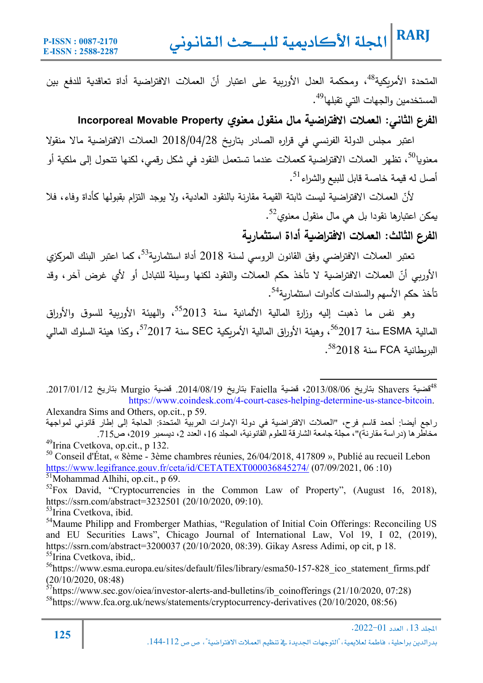المتحدة الأمريكية<sup>48</sup>، ومحكمة العدل الأوربية على اعتبار أنّ العملات الافتراضية أداة تعاقدية للدفع بين المستخدمین والجهات التي تقبلها<sup>49</sup>.

**الفرع الثاني: العملات الافتراضǻة مال منقول معنوȏ Property Movable Incorporeal** 

اعتبر مجلس الدولة الفرنسي في قراره الصادر بتاريخ 2018/04/28 العملات الافتراضية مالا منقولا معنويا<sup>50</sup>، تظهر العملات الافتراضية كعملات عندما تستعمل النقود في شكل رقمي، لكنها تتحول إلى ملكية أو أصل له قيمة خاصة قابل للبيع والشراء<sup>51</sup>.

لأنّ العملات الافتراضية ليست ثابتة القيمة مقارنة بالنقود العادية، ولا يوجد التزام بقبولها كأداة وفاء، فلا يمكن اعتبارها نقودا بل هي مال منقول معنوي<sup>52</sup>.

**الفرع الثالث: العملات الافتراضǻة أداة استثمارȂة** 

تعتبر العملات الافتراضي وفق القانون الروسي لسنة 2018 أداة استثمارية<sup>53</sup>، كما اعتبر البنك المركزي الأوربي أنّ العملات الافتراضية لا تأخذ حكم العملات والنقود لكنها وسيلة للتبادل أو لأي غرض اخر، وقد تأخذ حكم الأسهم والسندات كأدوات استثماربة<sup>54</sup>.

وهو نفس ما ذهبت إليه وزارة المالية الألمانية سنة 2013<sup>55</sup>، والمهيئة الأورىية للسوق والأوراق المالية ESMA سنة 2017<sup>56</sup>، وهيئة الأوراق المالية الأمريكية SEC سنة 2017<sup>57</sup>، وكذا هيئة السلوك المالي . $582018$  سنة 2018

قضیة Shavers بتاریخ ،2013/08/06 قضیة Faiella بتاریخ .2014/08/19 قضیة Murgio بتاریخ .2017/01/12 <sup>48</sup> https://www.coindesk.com/4-court-cases-helping-determine-us-stance-bitcoin. Alexandra Sims and Others, op.cit., p 59.

راجع أیضا: أحمد قاسم فرح، "العملات الافتراضیة في دولة الإمارات العربیة المتحدة: الحاجة إلى إطار قانوني لمواجھة مخاطرھا (دراسة مقارنة)"، مجلة جامعة الشارقة للعلوم القانونیة، المجلد ،16 العدد ،2 دیسمبر ،2019 ص.715  $^{49}$ Irina Cvetkova, op.cit., p 132.

 $50$  Conseil d'État, « 8ème - 3ème chambres réunies, 26/04/2018, 417809 », Publié au recueil Lebon https://www.legifrance.gouv.fr/ceta/id/CETATEXT000036845274/ (07/09/2021, 06 :10) 51Mohammad Alhihi, op.cit., p 69.

 ${}^{52}$ Fox David, "Cryptocurrencies in the Common Law of Property", (August 16, 2018), https://ssrn.com/abstract=3232501 (20/10/2020, 09:10).

<sup>53</sup>Irina Cvetkova, ibid.

<sup>54</sup>Maume Philipp and Fromberger Mathias, "Regulation of Initial Coin Offerings: Reconciling US and EU Securities Laws", Chicago Journal of International Law, Vol 19, I 02, (2019), https://ssrn.com/abstract=3200037 (20/10/2020, 08:39). Gikay Asress Adimi, op cit, p 18.  $55$ Irina Cvetkova, ibid,.

<sup>56</sup>https://www.esma.europa.eu/sites/default/files/library/esma50-157-828 ico\_statement\_firms.pdf (20/10/2020, 08:48)

 $57$ https://www.sec.gov/oiea/investor-alerts-and-bulletins/ib\_coinofferings (21/10/2020, 07:28) <sup>58</sup>https://www.fca.org.uk/news/statements/cryptocurrency-derivatives (20/10/2020, 08:56)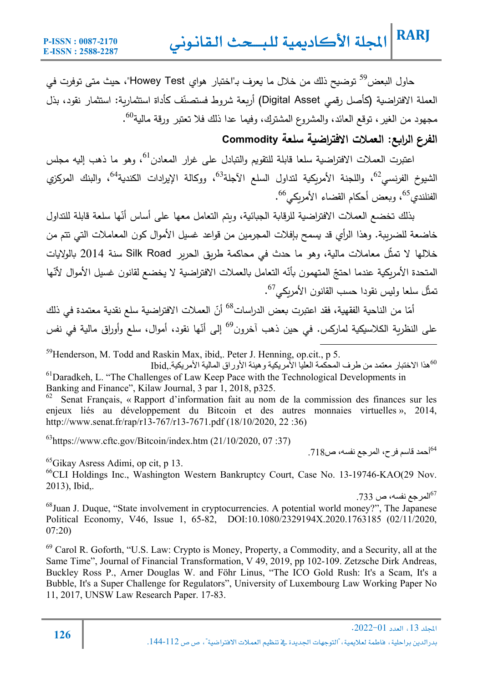حاول البعض<sup>59</sup> توضيح ذلك من خلال ما يعرف بـ"اختبار هواي Howey Test"، حيث متى توفرت في العملة الافتراضية (كأصل رقمي Digital Asset) أربعة شروط فستصنّف كأداة استثمارية: استثمار نقود، بذل مجهود من الغیر، توقع العائد، والمشروع المشترك، وفیما عدا ذلك فلا تعتبر ورقة مالیة<sup>60</sup>.

### **الفرع الراǺع: العملات الافتراضǻة سلعة Commodity**

اعتبرت العملات الافتراضية سلعا قابلة للتقويم والتبادل على غرار المعادن<sup>61</sup>، وهو ما ذهب إليه مجلس الشيوخ الفرنسي<sup>62</sup>، واللجنة الأمربكية لتداول السلع الآجلة<sup>63</sup>، ووكالة الإيرادات الكندية<sup>64</sup>، والبنك المركزي الفنلندي<sup>65</sup>، وبعض أحكام القضاء الأمربكي<sup>66</sup>.

بذلك تخضع العملات الافتراضية للرقابة الجبائية، ويتم التعامل معها على أساس أنّها سلعة قابلة للتداول خاضعة للضرببة. وهذا الرأي قد يسمح بإفلات المجرمين من قواعد غسيل الأموال كون المعاملات التي تتم من خلالها لا تمثّل معاملات مالية، وهو ما حدث في محاكمة طريق الحرير Silk Road سنة 2014 بالولايات المتحدة الأمريكية عندما احتجّ المتهمون بأنّه التعامل بالعملات الافتراضية لا يخضع لقانون غسيل الأموال لأنّها تمثّل سلعا وليس نقودا حسب القانون الأمريكي<sup>67</sup>.

أمّا من الناحية الفقهية، فقد اعتبرت بعض الدراسات<sup>68</sup> أنّ العملات الافتراضية سلع نقدية معتمدة في ذلك على النظرية الكلاسيكية لماركس. في حين ذهب آخرون<sup>69</sup> إلى أنّها نقود، أموال، سلع وأوراق مالية في نفس

 $59$ Henderson, M. Todd and Raskin Max, ibid., Peter J. Henning, op.cit., p 5.

ھذا الاختبار معتمد من طرف المحكمة العلیا الأمریكیة وھیئة الأوراق المالیة الأمریكیة,.Ibid <sup>60</sup> <sup>61</sup>Daradkeh, L. "The Challenges of Law Keep Pace with the Technological Developments in Banking and Finance", Kilaw Journal, 3 par 1, 2018, p325.

Senat Français, « Rapport d'information fait au nom de la commission des finances sur les enjeux liés au développement du Bitcoin et des autres monnaies virtuelles », 2014, http://www.senat.fr/rap/r13-767/r13-7671.pdf (18/10/2020, 22 :36)

 $^{63}$ https://www.cftc.gov/Bitcoin/index.htm (21/10/2020, 07:37)

أحمد قاسم فرح، المرجع نفسھ، ص.718 64

65Gikay Asress Adimi, op cit, p 13.

<sup>66</sup>CLI Holdings Inc., Washington Western Bankruptcy Court, Case No. 13-19746-KAO(29 Nov. 2013), Ibid,.

 $1733$  المرجع نفسه، ص $^{67}$ 

<sup>68</sup>Juan J. Duque, "State involvement in cryptocurrencies. A potential world money?", The Japanese Political Economy, V46, Issue 1, 65-82, DOI:10.1080/2329194X.2020.1763185 (02/11/2020, 07:20)

 $69$  Carol R. Goforth, "U.S. Law: Crypto is Money, Property, a Commodity, and a Security, all at the Same Time", Journal of Financial Transformation, V 49, 2019, pp 102-109. Zetzsche Dirk Andreas, Buckley Ross P., Arner Douglas W. and Föhr Linus, "The ICO Gold Rush: It's a Scam, It's a Bubble, It's a Super Challenge for Regulators", University of Luxembourg Law Working Paper No 11, 2017, UNSW Law Research Paper. 17-83.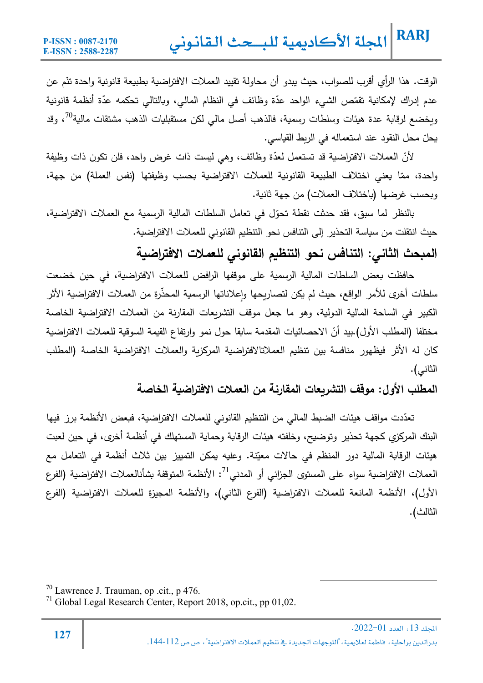الوقت. هذا الرأي أقرب للصواب، حيث يبدو أن محاولة تقييد العملات الافتراضية بطبيعة قانونية واحدة تتّم عن عدم إدراك لإمكانية تقمّص الشيء الواحد عدّة وظائف في النظام المالي، وبالتالي تحكمه عدّة أنظمة قانونية ويخضع لرقابة عدة هيئات وسلطات رسمية، فالذهب أصل مالي لكن مستقبليات الذهب مشتقات مالية<sup>70</sup>، وقد يحلّ محل النقود عند استعماله في الربط القياسي.

لأنّ العملات الافتراضية قد تستعمل لعدّة وظائف، وهي ليست ذات غرض واحد، فلن تكون ذات وظيفة واحدة، ممّا يعني اختلاف الطبيعة القانونية للعملات الافتراضية بحسب وظيفتها (نفس العملة) من جهة، وبحسب غرضها (باختلاف العملات) من جهة ثانية.

بالنظر لما سبق، فقد حدثت نقطة تحوّل في تعامل السلطات المالية الرسمية مع العملات الافتراضية، حيث انتقلت من سياسة التحذير إلى التنافس نحو التنظيم القانوني للعملات الافتراضية.

**المǺحث الثاني: التنافس نحو التنظǻم القانوني للعملات الافتراضǻة** 

حافظت بعض السلطات المالية الرسمية على موقفها الرافض للعملات الافتراضية، في حين خضعت سلطات أخرى للأمر الواقع، حيث لم يكن لتصاريحها وإعلاناتها الرسمية المحذرة من العملات الافتراضية الأثر الكبیر في الساحة المالية الدولية، وهو ما جعل موقف التشريعات المقارنة من العملات الافتراضية الخاصة مختلفا (المطلب الأول).بيد أنّ الاحصائيات المقدمة سابقا حول نمو وارتفاع القيمة السوقية للعملات الافتراضية كان له الأثر فيظهور منافسة بين تنظيم العملاتالافتراضية المركزبة والعملات الافتراضية الخاصة (المطلب الثاني).

**المطلب الأول: موقف التشرȂعات المقارنة من العملات الافتراضǻة الخاصة**

تعدّدت مواقف هيئات الضبط المالي من التنظيم القانوني للعملات الافتراضية، فبعض الأنظمة برز فيها البنك المركزي كجهة تحذیر وتوضيح، وخلفته هیئات الرقابة وحماية المستهلك في أنظمة أخرى، في حین لعبت هيئات الرقابة المالية دور المنظم في حالات معيّنة. وعليه يمكن التمييز بين ثلاث أنظمة في التعامل مع العملات الافتراضية سواء على المستوى الجزائي أو المدني<sup>71</sup>: الأنظمة المتوقفة بشأنالعملات الافتراضية (الفرع الأول)، الأنظمة المانعة للعملات الافتراضǽة (الفرع الثاني)، والأنظمة المجیزة للعملات الافتراضǽة (الفرع الثالث).

 70 Lawrence J. Trauman, op .cit., p 476.

<sup>71</sup> Global Legal Research Center, Report 2018, op.cit., pp 01,02.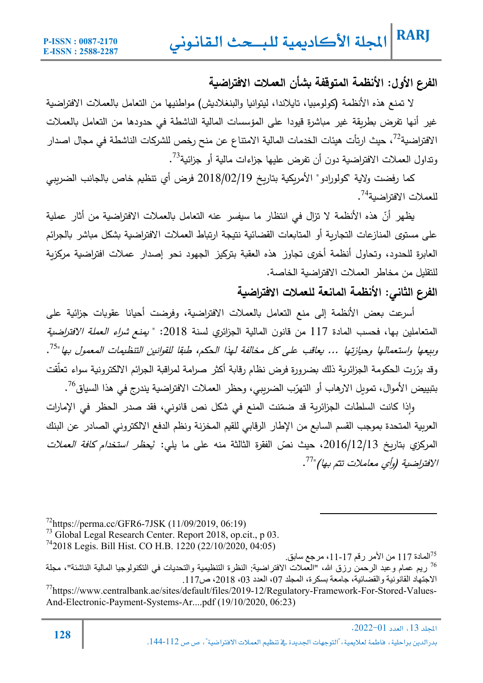### **الفرع الأول: الأنظمة المتوقفة Ǻشأن العملات الافتراضǻة**

لا تمنع هذه الأنظمة (كولومبيا، تايلاندا، ليتوانيا والبنغلاديش) مواطنيها من التعامل بالعملات الافتراضية غیر أنها تفرض بطريقة غیر مباشرة قیودا على المؤسسات المالية الناشطة في حدودها من التعامل بالعملات الافتراضية $^{72}$ ، حيث ارتأت هيئات الخدمات المالية الامتناع عن منح رخص للشركات الناشطة في مجال اصدار وتداول العملات الافتراضية دون أن تفرض عليها جزاءات مالية أو جزائية<sup>73</sup>.

كما رفضت ولاية "كولورادو" الأمريكية بتاريخ 2018/02/19 فرض أي تنظيم خاص بالجانب الضرببي للعملات الافتراضية<sup>74</sup>.

<u>ظهر</u> أنّ هذه الأنظمة لا تزال في انتظار ما سيفسر عنه التعامل بالعملات الافتراضية من أثار عملية على مستوى المنازعات التجاربة أو المتابعات القضائية نتيجة ارتباط العملات الافتراضية بشكل مباشر بالجرائم العابرة للحدود، وتحاول أنظمة أخرى تجاوز هذه العقبة بتركيز الجهود نحو إصدار عملات افتراضية مركزبة للتقلیل من مخاطر العملات الافتراضǽة الخاصة.

#### **الفرع الثاني: الأنظمة المانعة للعملات الافتراضǻة**

أسرعت بعض الأنظمة إلى منع التعامل بالعملات الافتراضية، وفرضت أحيانا عقوبات جزائية على المتعاملين بها، فحسب المادة 117 من قانون المالية الجزائري لسنة 2018: " *يمنع شراء العملة الافتراضية* وسعها واستعمالها وحيازتها ... يعاقب على كل مخالفة لهذا الحكم، طبقا للقوانين التنظيمات المعمول بها "<sup>75</sup>. وقد برّرت الحكومة الجزائرية ذلك بضرورة فرض نظام رقابة أكثر صرامة لمراقبة الجرائم الالكترونية سواء تعلقت بتبييض الأموال، تمويل الارهاب أو التهرّب الضريبي، وحظر العملات الافتراضية يندرج في هذا السياق<sup>76</sup>.

رإذا كانت السلطات الجزائرية قد ضمّنت المنع في شكل نص قانوني، فقد صدر الحظر في الإمارات العربية المتحدة بموجب القسم السابع من الإطار الرقابي للقيم المخزنة ونظم الدفع الالكتروني الصادر عن البنك المركزي بتاريخ 2016/12/13، حيث نصّ الفقرة الثالثة منه على ما يلي: "*يحظر استخدام كافة العملات* الافتراضية (وأي معاملات تتم بها)"<sup>77</sup>.

 $^{72}$ https://perma.cc/GFR6-7JSK (11/09/2019, 06:19)

<sup>73</sup> Global Legal Research Center. Report 2018, op.cit., p 03.

 $^{74}$ 2018 Legis. Bill Hist. CO H.B. 1220 (22/10/2020, 04:05)

المادة 117 من الأمر رقم 17-11، مرجع سابق<sub>.</sub>  $^{75}$ ریم عمام وعبد الرحمن رزق الله، "العملات الافتراضیة: النظرة التنظیمیة والتحدیات في التكنولوجیا المالیة الناشئة"، مجلة الاجتھاد القانونیة والقضائیة، جامعة بسكرة، المجلد ،07 العدد ،03 ،2018 ص.117

<sup>77</sup>https://www.centralbank.ae/sites/default/files/2019-12/Regulatory-Framework-For-Stored-Values-And-Electronic-Payment-Systems-Ar....pdf (19/10/2020, 06:23)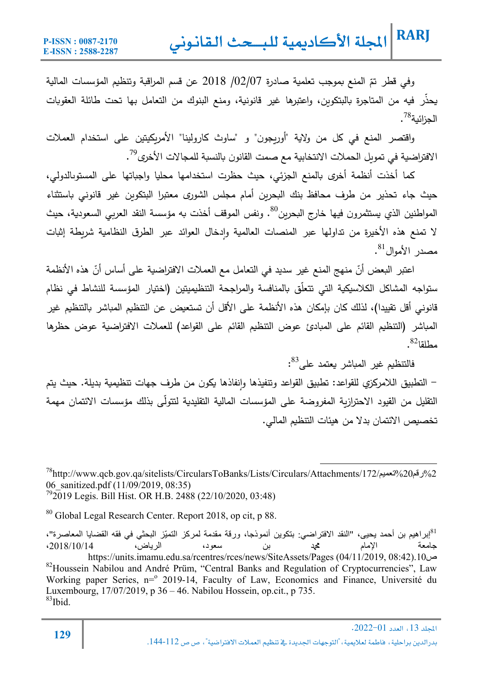وفي قطر تمّ المنع بموجب تعلمية صادرة 2018/07 /02 عن قسم المراقبة وتنظيم المؤسسات المالية يحذر فيه من المتاجرة بالبتكوين، واعتبرها غير قانونية، ومنع البنوك من التعامل بها تحت طائلة العقوبات الحزائية<sup>78</sup> .

واقتصر المنع في كل من ولاية "أوربجون" و "ساوث كارولينا" الأمريكيتين على استخدام العملات الافتراضية في تمويل الحملات الانتخابية مع صمت القانون بالنسبة للمجالات الأخرى<sup>79</sup>.

كما أخذت أنظمة أخرى بالمنع الجزئي، حيث حظرت استخدامها محليا واجباتها على المستوىالدولي، حیث جاء تحذیر من طرف محافظ بنك البحربن أمام مجلس الشورى معتبرا البتكوىن غیر قانوني باستثناء المواطنين الذي يستثمرون فيها خارج البحرين<sup>80</sup>. ونفس الموقف أخذت به مؤسسة النقد العربي السعودية، حيث لا تمنع هذه الأخيرة من تداولها عبر المنصات العالمية وادخال العوائد عبر الطرق النظامية شريطة إثبات مصدر الأموال<sup>81</sup>.

اعتبر البعض أنّ منهج المنع غير سديد في التعامل مع العملات الافتراضية على أساس أنّ هذه الأنظمة ستواجه المشاكل الكلاسيكية التي تتعلّق بالمنافسة والمراجحة التنظيميتين (اختيار المؤسسة للنشاط في نظام قانوني أقل تقييدا)، لذلك كان بإمكان هذه الأنظمة على الأقل أن تستعيض عن التنظيم المباشر بالتنظيم غير المباشر (التنظيم القائم على المبادئ عوض التنظيم القائم على القواعد) للعملات الافتراضية عوض حظرها  $^{82}$ مطلقا

فالتنظيم غير المباشر يعتمد على<sup>83</sup>:

- التطبیȘ اللامرȞزȑ للقواعد: تطبیȘ القواعد وتنفیذها ٕوانفاذها Ȟǽون من طرف جهات تنظǽمǽة بدیلة. حیث یتم التقليل من القيود الاحترازبة المفروضة على المؤسسات المالية التقليدية لتتولّى بذلك مؤسسات الائتمان مهمة تخصيص الائتمان بدلا من هيئات التنظيم المالي.

78http://www.qcb.gov.qa/sitelists/CircularsToBanks/Lists/Circulars/Attachments/172/ تعميد 20%نقة 40% 06 sanitized.pdf (11/09/2019, 08:35)  $^{79}$ 2019 Legis. Bill Hist. OR H.B. 2488 (22/10/2020, 03:48)

80 Global Legal Research Center. Report 2018, op cit, p 88.

81 إبراھیم بن أحمد یحیى، "النقد الافتراضي: بتكوین أنموذجا، ورقة مقدمة لمركز التمیّز البحثي في فقھ القضایا المعاصرة"، جامعة الإمام محمد بن سعود، الریاض، ،2018/10/14 https://units.imamu.edu.sa/rcentres/rces/news/SiteAssets/Pages (04/11/2019, 08:42).10ص <sup>82</sup>Houssein Nabilou and André Prüm, "Central Banks and Regulation of Cryptocurrencies", Law Working paper Series, n=<sup>o</sup> 2019-14, Faculty of Law, Economics and Finance, Université du Luxembourg, 17/07/2019, p 36 – 46. Nabilou Hossein, op.cit., p 735.  $83$ Ibid.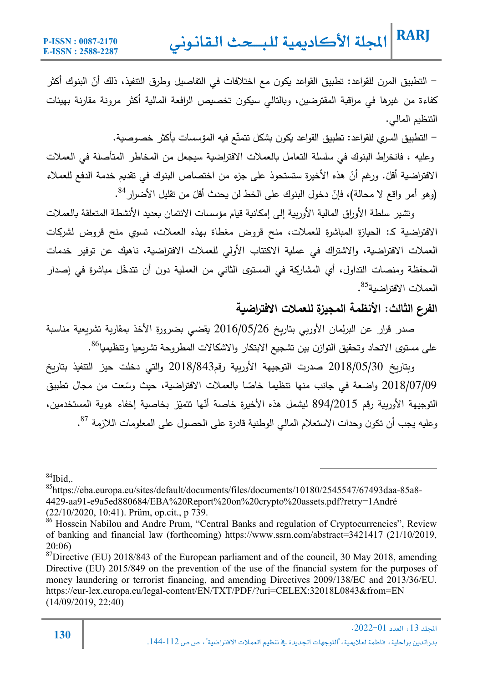– التطبيق المرن للقواعد: تطبيق القواعد يكون مع اختلافات في التفاصيل وطرق التتفيذ، ذلك أنّ البنوك أكثر كفاءة من غیرها في مراقبة المقترضین، وبالتالي سیكون تخصیص الرافعة المالیة أكثر مرونة مقارنة بهیئات التنظيم المالي.

– التطبيق السري للقواعد: تطبيق القواعد يكون بشكل تتمتّع فيه المؤسسات بأكثر خصوصية. وعليه ، فانخراط البنوك في سلسلة التعامل بالعملات الافتراضية سيجعل من المخاطر المتأصلة في العملات الافتراضية أقلّ. ورغم أنّ هذه الأخيرة ستستحوذ على جزءٍ من اختصاص البنوك في تقديم خدمة الدفع للعملاء (وهو أمر واقع لا محالة)، فإنّ دخول البنوك على الخط لن يحدث أقلّ من تقليل الأضرار <sup>84</sup>.

وتشير سلطة الأوراق المالية الأوريية إلى إمكانية قيام مؤسسات الائتمان بعدید الأنشطة المتعلقة بالعملات الافتراضية كـ: الحيازة المباشرة للعملات، منح قروض مغطاة بهذه العملات، تسوي منح قروض لشركات العملات الافتراضǽة، والاشتراك في عملǽة الاكتتاب الأولي للعملات الافتراضǽة، ناهǽك عن توفیر خدمات المحفظة ومنصات التداول، أي المشاركة في المستوى الثاني من العملية دون أن تتدخّل مباشرة في إصدار العملات الافتراضية<sup>85</sup>.

#### **الفرع الثالث: الأنظمة المجیزة للعملات الافتراضǻة**

صدر قرار عن البرلمان الأوربي بتاريخ 2016/05/26 يقضي بضرورة الأخذ بمقارية تشريعية مناسبة على مستوى الاتحاد وتحقيق التوازن بين تشجيع الابتكار والاشكالات المطروحة تشريعيا وتنظيميا<sup>86</sup>.

وبتاريخ 2018/05/30 صدرت التوجيهة الأوربية رقم2018/843 والتي دخلت حيز التنفيذ بتاريخ 2018/07/09 واضعة في جانب منها تنظيما خاصّا بالعملات الافتراضية، حيث وسّعت من مجال تطبيق التوجيهة الأوربية رقم 894/2015 ليشمل هذه الأخيرة خاصة أنّها تتميّز بخاصية إخفاء هوية المستخدمين، وعليه يجب أن تكون وحدات الاستعلام المالي الوطنية قادرة على الحصول على المعلومات اللازمة <sup>87</sup>.

 $84$ Ibid,.

85https://eba.europa.eu/sites/default/documents/files/documents/10180/2545547/67493daa-85a8- 4429-aa91-e9a5ed880684/EBA%20Report%20on%20crypto%20assets.pdf?retry=1André (22/10/2020, 10:41). Prüm, op.cit., p 739.

<sup>&</sup>lt;sup>86</sup> Hossein Nabilou and Andre Prum, "Central Banks and regulation of Cryptocurrencies", Review of banking and financial law (forthcoming) https://www.ssrn.com/abstract=3421417 (21/10/2019, 20:06)

 $87$ Directive (EU) 2018/843 of the European parliament and of the council, 30 May 2018, amending Directive (EU) 2015/849 on the prevention of the use of the financial system for the purposes of money laundering or terrorist financing, and amending Directives 2009/138/EC and 2013/36/EU. https://eur-lex.europa.eu/legal-content/EN/TXT/PDF/?uri=CELEX:32018L0843&from=EN (14/09/2019, 22:40)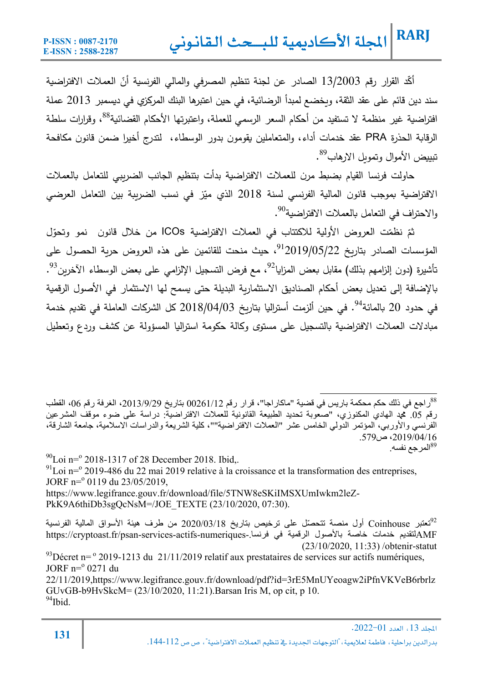أكّد القرار رقم 13/2003 الصادر عن لجنة تنظيم المصرفي والمالي الفرنسية أنّ العملات الافتراضية سند دين قائم على عقد الثقة، ويخضع لمبدأ الرضائية، في حين اعتبرها البنك المركزي في ديسمبر 2013 عملة افتراضية غیر منظمة لا تستفید من أحكام السعر الرسمي للعملة، واعتبرتها الأحكام القضائية<sup>88</sup>، وقرارات سلطة الرقاǼة الحذرة PRA عقد خدمات أداء، والمتعاملین ǽقومون بدور الوسطاء، لتدرج أخیرا ضمن قانون مȞافحة تبييض الأموال وتمويل الارهاب<sup>89</sup>.

حاولت فرنسا القيام بضبط مرن للعملات الافتراضية بدأت بتنظيم الجانب الضريبي للتعامل بالعملات الافتراضية بموجب قانون المالية الفرنسي لسنة 2018 الذي ميّز في نسب الضريبة بين التعامل العرضي والاحتراف في التعامل بالعملات الافتراضية<sup>90</sup>.

ثمّ نظمّت العروض الأولية للاكتتاب في العملات الافتراضية ICOs من خلال قانون نمو وتحوّل المؤسسات الصادر بتاريخ 2019/05/22°، حيث منحت للقائمين على هذه العروض حرية الحصول على تأشيرة (دون إلزامهم بذلك) مقابل بعض المزايا<sup>92</sup>، مع فرض التسجيل الإلزامي على بعض الوسطاء الآخرين<sup>93</sup>. بالإضافة إلى تعدیل بعض أحكام الصنادیق الاستثماربة البدیلة حتى یسمح لها الاستثمار في الأصول الرقمية . في حدود 20 بالمائة $^{94}$ . في حين ألزمت أستراليا بتاريخ 2018/04/03 كل الشركات العاملة في تقديم خدمة مبادلات العملات الافتراضية بالتسجیل على مستوى وكالة حكومة استرالیا المسؤولة عن كشف وردع وتعطیل

 $^{90}$ Loi n= $^{9}$  2018-1317 of 28 December 2018. Ibid,.  $^{91}$ Loi n= $^{9}$  2019-486 du 22 mai 2019 relative à la croissance et la transformation des entreprises, JORF n=<sup>o</sup> 0119 du 23/05/2019, https://www.legifrance.gouv.fr/download/file/5TNW8eSKiIMSXUmIwkm2leZ-PkK9A6thiDb3sgQcNsM=/JOE\_TEXTE (23/10/2020, 07:30).

تعتبر Coinhouse ّ أول منصة تتحصل على ترخیص بتاریخ 2020/03/18 من طرف ھیئة الأسواق المالیة الفرنسیة <sup>92</sup> https://cryptoast.fr/psan-services-actifs-numeriques-.فرنسا في الرقمیة بالأصول خاصة خدمات لتقدیمAMF (23/10/2020, 11:33) /obtenir-statut  $^{93}$ Décret n=  $^{\circ}$  2019-1213 du 21/11/2019 relatif aux prestataires de services sur actifs numériques,  $JORF$  n= $^{\circ}$  0271 du 22/11/2019,https://www.legifrance.gouv.fr/download/pdf?id=3rE5MnUYeoagw2iPfnVKVeB6rbrlz GUvGB-b9HvSkcM= (23/10/2020, 11:21). Barsan Iris M, op cit, p 10.<br><sup>94</sup>Ibid

راجع في ذلك حكم محكمة باريس في قضية "ماكاراجا"، قرار رقم 00261/12 بتاريخ 2013/9/29، الغرفة رقم 06، القطب 88 رقم .05 محمد الھادي المكنوزي، "صعوبة تحدید الطبیعة القانونیة للعملات الافتراضیة: دراسة على ضوء موقف المشرعین الفرنسي والأوربي، المؤتمر الدولي الخامس عشر "العملات الافتراضیة""، كلیة الشریعة والدراسات الاسلامیة، جامعة الشارقة، ،2019/04/16 ص.579 المر جع نفسه. $^{89}$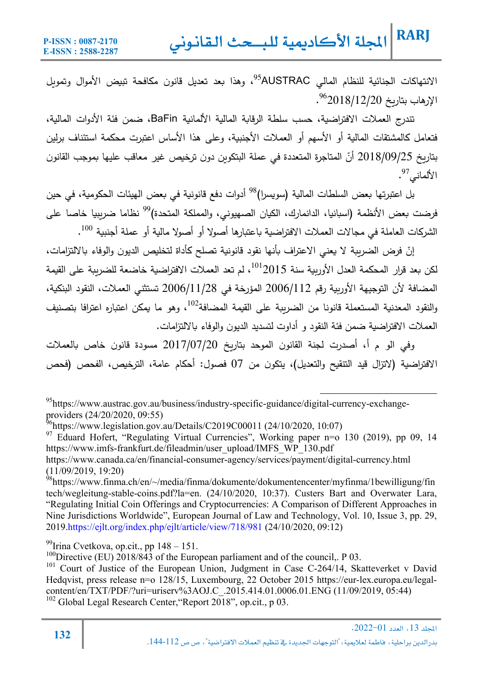الانتهاكات الجنائية للنظام المالي AUSTRAC<sup>95</sup>، وهذا بعد تعديل قانون مكافحة تبيض الأموال وتموبل . 96 الإرهاب بتارȄخ 2018/12/20

تندرج العملات الافتراضǽة، حسب سلطة الرقاǼة المالǽة الألمانǽة BaFin، ضمن فئة الأدوات المالǽة، فتعامل كالمشتقات المالية أو الأسهم أو العملات الأجنبية، وعلى هذا الأساس اعتبرت محكمة استئناف برلين بتاريخ 2018/09/25 أنّ المتاجرة المتعددة في عملة البتكوين دون ترخيص غير معاقب عليها بموجب القانون  $\mathcal{S}^7$ الألماني  $^9$ .

بل اعتبرتها بعض السلطات المالية (سويسرا)<sup>98</sup> أدوات دفع قانونية في بعض الهيئات الحكومية، في حين فرضت بعض الأنظمة (اسبانيا، الدانمارك، الكيان الصهيوني، والمملكة المتحدة)<sup>99</sup> نظاما ضربِبيا خاصـا على الشركات العاملة في مجالات العملات الافتراضية باعتبارها أصولا أو أصولا مالية أو عملة أجنبية <sup>100</sup>.

إنّ فرض الضريبة لا يعني الاعتراف بأنها نقود قانونية تصلح كأداة لتخليص الديون والوفاء بالالتزامات، لكن بعد قرار المحكمة العدل الأوربية سنة 2015 $^{101}$ ، لم تعد العملات الافتراضية خاضعة للضريبة على القيمة المضافة لأن التوجيهة الأوربية رقم 2006/1122 المؤرخة في 2006/11/28 تستثني العملات، النقود البنكية، والنقود المعدنية المستعملة قانونا من الضربية على القيمة المضافة $^{102}$ ، وهو ما يمكن اعتباره اعترافا بتصنبف العملات الافتراضǽة ضمن فئة النقود و أداوت لتسدید الدیون والوفاء Ǽالالتزامات.

وفي الو م أ، أصدرت لجنة القانون الموحد بتاريخ 2017/07/20 مسودة قانون خاص بالعملات الافتراضية (لاتزال قید التتقيح والتعدیل)، یتكون من 07 فصول: أحكام عامة، الترخیص، الفحص (فحص

<sup>97</sup> Eduard Hofert, "Regulating Virtual Currencies", Working paper n=o 130 (2019), pp 09, 14 https://www.imfs-frankfurt.de/fileadmin/user\_upload/IMFS\_WP\_130.pdf

https://www.canada.ca/en/financial-consumer-agency/services/payment/digital-currency.html (11/09/2019, 19:20)

 95https://www.austrac.gov.au/business/industry-specific-guidance/digital-currency-exchangeproviders (24/20/2020, 09:55)

 $^{96}$ https://www.legislation.gov.au/Details/C2019C00011 (24/10/2020, 10:07)

<sup>98</sup>https://www.finma.ch/en/~/media/finma/dokumente/dokumentencenter/myfinma/1bewilligung/fin tech/wegleitung-stable-coins.pdf?la=en. (24/10/2020, 10:37). Custers Bart and Overwater Lara, "Regulating Initial Coin Offerings and Cryptocurrencies: A Comparison of Different Approaches in Nine Jurisdictions Worldwide", European Journal of Law and Technology, Vol. 10, Issue 3, pp. 29, 2019.https://ejlt.org/index.php/ejlt/article/view/718/981 (24/10/2020, 09:12)

 $99$ Irina Cvetkova, op.cit., pp  $148 - 151$ .

<sup>&</sup>lt;sup>100</sup>Directive (EU)  $2018/843$  of the European parliament and of the council, P 03.

 $101$  Court of Justice of the European Union, Judgment in Case C-264/14, Skatteverket v David Hedqvist, press release n=o 128/15, Luxembourg, 22 October 2015 https://eur-lex.europa.eu/legalcontent/en/TXT/PDF/?uri=uriserv%3AOJ.C\_.2015.414.01.0006.01.ENG (11/09/2019, 05:44) <sup>102</sup> Global Legal Research Center, "Report  $2018$ ", op.cit., p 03.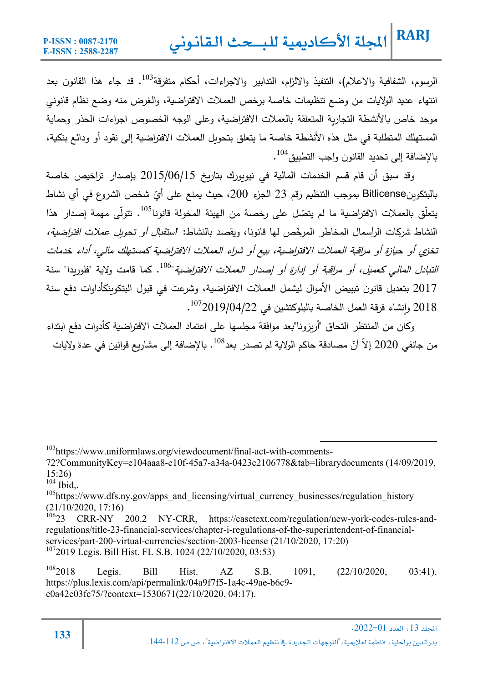الرسوم، الشفافية والاعلام)، التنفيذ والالزام، التدابير والاجراءات، أحكام متفرقة $^{103}$ . قد جاء هذا القانون بعد انتهاء عديد الولايات من وضع تنظيمات خاصة برخص العملات الافتراضية، والغرض منه وضع نظام قانوني موحد خاص بالأنشطة التجارية المتعلقة بالعملات الافتراضية، وعلى الوجه الخصوص اجراءات الحذر وحماية المستهلك المتطلبة في مثل هذه الأنشطة خاصة ما يتعلق بتحويل العملات الافتراضية إلى نقود أو ودائع بنكية، بالإضافة إلى تحدید القانون واجب التطبیق<sup>104</sup>.

وقد سبق أن قام قسم الخدمات المالية في نيويورك بتاريخ 2015/06/15 بإصدار تراخيص خاصة بالبتكوينBitlicense بموجب التنظيم رقم 23 الجزء 200، حيث يمنع على أيّ شخص الشروع في أي نشاط بتعلّق بالعملات الافتراضية ما لم يتصّل على رخصة من الهيئة المخولة قانونا<sup>105</sup>. تتولّى مهمة إصدار هذا النشاط شركات الرأسمال المخاطر المرخّص لمها قانونا، ويقصد بالنشاط: *استقبال أو تحويل عملات افتراضية،* تخزي أو حيازة أو مراقبة العملات الافتراضية، بيع أو شراء العملات الافتراضية كمستهلك مالي، أداء خدمات التنبا*دل المالي كعميل، أو مراقِبة أو إدارة أو إصدار العملات الافتراضية*"<sup>106</sup>. كما قامت ولاية "فلوربدا" سنة 2017 بتعدیل قانون تبیǽض الأموال لǽشمل العملات الافتراضǽة، وشرعت في قبول البتكوȄنȞأداوات دفع سنة . 107 2018 ٕوانشاء فرقة العمل الخاصة ǼالبلوȞتشین في 2019/04/22

وكان من المنتظر التحاق "أريزونا"بعد موافقة مجلسها على اعتماد العملات الافتراضية كأدوات دفع ابتداء من جانفي 2020 إلاّ أنّ مصادقة حاكم الولاية لم تصدر بعد<sup>108</sup>. بالإضافة إلى مشاريع قوانين في عدة ولايات

103https://www.uniformlaws.org/viewdocument/final-act-with-comments-

 $104$  Ibid..

 $105$ https://www.dfs.ny.gov/apps\_and\_licensing/virtual\_currency\_businesses/regulation\_history  $(21/10/2020, 17:16)$ <br> $10623$  CRR-NY

200.2 NY-CRR, https://casetext.com/regulation/new-york-codes-rules-andregulations/title-23-financial-services/chapter-i-regulations-of-the-superintendent-of-financialservices/part-200-virtual-currencies/section-2003-license (21/10/2020, 17:20) 1072019 Legis. Bill Hist. FL S.B. 1024 (22/10/2020, 03:53)

 $^{108}$ 2018 Legis. Bill Hist. AZ S.B. 1091,  $(22/10/2020, 03:41)$ . https://plus.lexis.com/api/permalink/04a9f7f5-1a4c-49ae-b6c9 e0a42e03fc75/?context=1530671(22/10/2020, 04:17).

<sup>72?</sup>CommunityKey=e104aaa8-c10f-45a7-a34a-0423c2106778&tab=librarydocuments (14/09/2019, 15:26)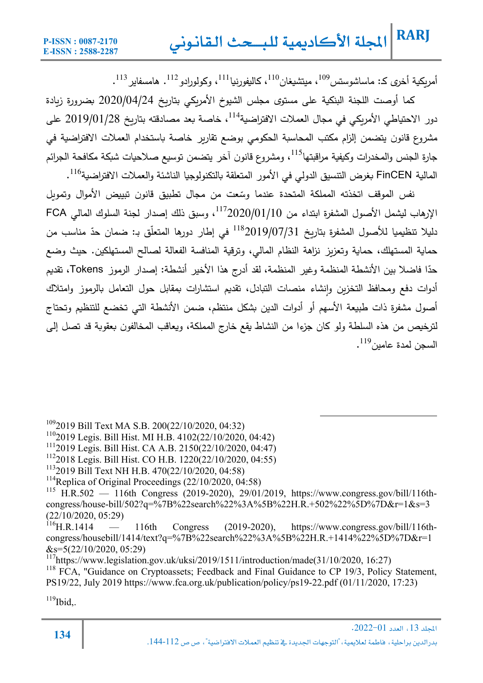أمريكية أخرى كـ: ماساشوستس $^{109}$ ، ميتشيغان $^{110}$ ، كاليفورنيا $^{111}$ ، وكولورادو $^{112}$ . هامسفاير  $^{112}$ .

كما أوصت اللجنة البنكية على مستوى مجلس الشيوخ الأمريكي بتاريخ 2020/04/24 بضرورة زيادة دور الاحتياطي الأمريكي في مجال العملات الافتراضية $^{114}$ ، خاصة بعد مصادقته بتاريخ 2019/01/28 على مشروع قانون يتضمن إلزام مكتب المحاسبة الحكومي بوضع تقاربر خاصة باستخدام العملات الافتراضية في جارة الجنس والمخدرات وكيفية مراقبتها<sup>115</sup>، ومشروع قانون آخر يتضمن توسيع صلاحيات شبكة مكافحة الجرائم المالية FinCEN بغرض التتسيق الدولي في الأمور المتعلقة بالتكنولوجيا الناشئة والعملات الافتراضية<sup>116</sup>.

نفس الموقف اتخذته المملكة المتحدة عندما وسّعت من مجال تطبيق قانون تبييض الأموال وتمويل ، الإرهاب ليشمل الأصول المشفرة ابتداء من 20/01/10/1<sup>117</sup>، وسبق ذلك إصدار لجنة السلوك المالي FCA نليلا تتظيميا للأصول المشفرة بتاريخ 2019/07/31° في إطار دورها المتعلّق بـ: ضمان حدّ مناسب من حماية المستهلك، حماية وتعزبز نزاهة النظام المالي، وترقية المنافسة الفعالة لصالح المستهلكین. حیث وضع حدّا فاضلا بين الأنشطة المنظمة وغير المنظمة، لقد أدرج هذا الأخير أنشطة: إصدار الرموز Tokens، تقديم أدوات دفع ومحافظ التخزين وإنشاء منصات التبادل، تقديم استشارات بمقابل حول التعامل بالرموز وامتلاك أصول مشفرة ذات طبيعة الأسهم أو أدوات الدین بشكل منتظم، ضمن الأنشطة التي تخضع للتنظيم وتحتاج لترخيص من هذه السلطة ولو كان جزءا من النشاط يقع خارج المملكة، ويعاقب المخالفون بعقوبة قد تصل إلى  $^{119}$ . السجن لمدة عامین $^{119}$ .

1092019 Bill Text MA S.B. 200(22/10/2020, 04:32)

1102019 Legis. Bill Hist. MI H.B. 4102(22/10/2020, 04:42)

1112019 Legis. Bill Hist. CA A.B. 2150(22/10/2020, 04:47)

1122018 Legis. Bill Hist. CO H.B. 1220(22/10/2020, 04:55)

- 1132019 Bill Text NH H.B. 470(22/10/2020, 04:58)
- <sup>114</sup>Replica of Original Proceedings (22/10/2020, 04:58)

 $115$  H.R.502 — 116th Congress (2019-2020), 29/01/2019, https://www.congress.gov/bill/116thcongress/house-bill/502?q=%7B%22search%22%3A%5B%22H.R.+502%22%5D%7D&r=1&s=3  $(22/10/2020, 05:29)$ <br><sup>116</sup>H R 1414 –

116th Congress (2019-2020), https://www.congress.gov/bill/116thcongress/housebill/1414/text?q=%7B%22search%22%3A%5B%22H.R.+1414%22%5D%7D&r=1  $&s=5(22/10/2020, 05:29)$ 

<sup>117</sup>https://www.legislation.gov.uk/uksi/2019/1511/introduction/made(31/10/2020, 16:27)

<sup>118</sup> FCA, "Guidance on Cryptoassets; Feedback and Final Guidance to CP 19/3, Policy Statement, PS19/22, July 2019 https://www.fca.org.uk/publication/policy/ps19-22.pdf (01/11/2020, 17:23)

 $119$ Ibid,.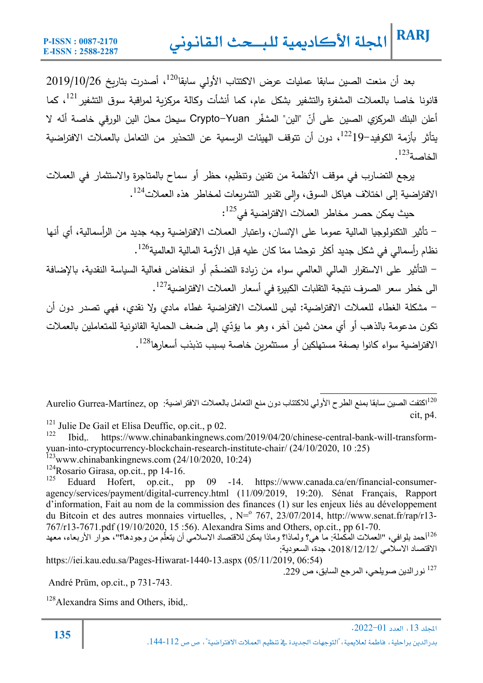بعد أن منعت الصين سابقا عمليات عرض الاكتتاب الأولى سابقا<sup>120</sup>، أصدرت بتاريخ 2019/10/26 قانونا خاصا بالعملات المشفرة والتشفیر بشکل عام، کما أنشأت وکالة مرکزیة لمراقبة سوق التشفیر <sup>121</sup>، کما أعلن البنك المركزي الصين على أنّ "الين" المشفّر Crypto–Yuan سيحلّ محلّ الين الورقي خاصـة أنّه لا يتأثر بأزمة الكوفيد $19$ 122، دون أن تتوقف الهيئات الرسمية عن التحذير من التعامل بالعملات الافتراضية  $^{123}$ .

یرجع التضارب في موقف الأنظمة من تقنین وتنظǽم، حظر أو سماح Ǽالمتاجرة والاستثمار في العملات الافتراضية إلى اختلاف هياكل السوق، وإلى تقدير التشريعات لمخاطر هذه العملات<sup>124</sup>.

 $\cdot ^{125}$ حيث يمكن حصر مخاطر العملات الافتراضية في $^{-125}$ :

- تأثیر التكنولوجǽا المالǽة عموما على الإنسان، واعتǼار العملات الافتراضǽة وجه جدید من الرأسمالǽة، أȑ أنها نظام رأسمالي في شكل جديد أكثر توحشا ممّا كان عليه قبل الأزمة المالية العالمية $^{126}$ .

– التأثير على الاستقرار المالي العالمي سواء من زيادة التضخّم أو انخفاض فعالية السياسة النقدية، بالإضافة الى خطر سعر الصرف نتيجة التقلبات الكبيرة في أسعار العملات الافتراضية $^{127}$ .

- مشȞلة الغطاء للعملات الافتراضǽة: لǽس للعملات الافتراضǽة غطاء مادȑ ولا نقدȑ، فهي تصدر دون أن تكون مدعومة بالذهب أو أي معدن ثمين آخر ، وهو ما يؤدّي إلى ضعف الحماية القانونية للمتعاملين بالعملات الافتراضية سواء كانوا بصفة مستهلكين أو مستثمرين خاصة بسبب تذبذب أسعارها<sup>128</sup>.

اكتفت الصین سابقا بمنع الطرح الأولي للاكتتاب دون منع التعامل بالعملات الافتراضیة: op ,Martínez-Gurrea Aurelio <sup>120</sup> cit, p4.

<sup>121</sup> Julie De Gail et Elisa Deuffic, op.cit., p 02.

122 Ibid,. https://www.chinabankingnews.com/2019/04/20/chinese-central-bank-will-transformyuan-into-cryptocurrency-blockchain-research-institute-chair/ (24/10/2020, 10 :25)  $123$ www.chinabankingnews.com (24/10/2020, 10:24)

<sup>124</sup>Rosario Girasa, op.cit., pp 14-16.<br><sup>125</sup> Edvard Hafert on sit.

Eduard Hofert, op.cit., pp 09 -14. https://www.canada.ca/en/financial-consumeragency/services/payment/digital-currency.html (11/09/2019, 19:20). Sénat Français, Rapport d'information, Fait au nom de la commission des finances (1) sur les enjeux liés au développement du Bitcoin et des autres monnaies virtuelles, , N= 767, 23/07/2014, http://www.senat.fr/rap/r13-767/r13-7671.pdf (19/10/2020, 15 :56). Alexandra Sims and Others, op.cit., pp 61-70.

<sup>126</sup>أحمد بلوافي، "العملات المكملة: ما هي؟ ولماذا؟ وماذا يمكن للاقتصاد الاسلامي أن يتعلَّم من وجودها؟"، حوار الأربعاء، معهد الاقتصاد الاسلامي ،2018/12/12/ جدة، السعودیة:

https://iei.kau.edu.sa/Pages-Hiwarat-1440-13.aspx (05/11/2019, 06:54) نور الدین صویلحی، المرجع السابق، ص 229.  $^{127}$ 

André Prüm, op.cit., p 731-743.

<sup>128</sup>Alexandra Sims and Others, ibid,.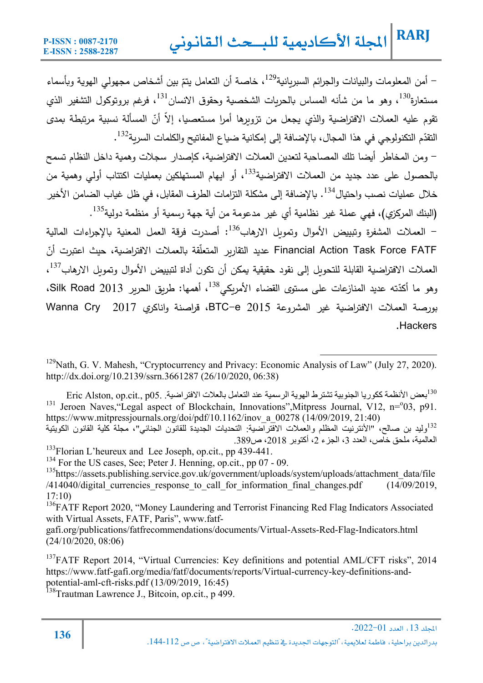– أمن المعلومات والبيانات والجرائم السبريانية<sup>129</sup>، خاصة أن التعامل يتمّ بين أشخاص مجهولي الهوية وبأسماء مستعارة<sup>130</sup>، وهو ما من شأنه المساس بالحريات الشخصية وحقوق الانسان<sup>131</sup>، فرغم بروتوكول التشفير الذي تقوم عليه العملات الافتراضية والذي يجعل من تزويرها أمرا مستعصيا، إلا أنّ المسألة نسبية مرتبطة بمد*ى* التقدّم التكنولوجي في هذا المجال، بالإضافة إلى إمكانية ضياع المفاتيح والكلمات السرية<sup>132</sup> .

- ومن المخاطر أǽضا تلك المصاحǼة لتعدین العملات الافتراضǽة، Ȟإصدار سجلات وهمǽة داخل النظام تسمح بالحصول على عدد جدید من العملات الافتراضية<sup>133</sup>، أو ايهام المستهلكين بعمليات اكتتاب أولى وهمية من خلال عمليات نصب وإحتيال<sup>134</sup>. بالإضافة إلى مشكلة التزامات الطرف المقابل، في ظل غياب الضامن الأخير (البنك المركزي)، فهي عملة غیر نظامية أي غیر مدعومة من أية جهة رسمية أو منظمة دولية<sup>135</sup>.

- العملات المشفرة وتبييض الأموال وتموىل الارهاب<sup>136</sup>: أصدرت فرقة العمل المعنية بالإجراءات المالية Financial Action Task Force FATF عديد التقارير المتعلقة بالعملات الافتراضية، حيث اعتبرت أنّ العملات الافتراضية القابلة للتحويل إلى نقود حقيقية يمكن أن تكون أداة لتبييض الأموال وتمويل الارهاب<sup>137</sup>، رهو ما أكدّته عديد المنازعات على مستوى القضاء الأمريكي<sup>138</sup>، أهمها: طريق الحرير Silk Road 2013، بورصة العملات الافتراضǽة غیر المشروعة 2015 e-BTC، قراصنة واناكرȑ 2017 Cry Wanna .Hackers

<sup>129</sup>Nath, G. V. Mahesh, "Cryptocurrency and Privacy: Economic Analysis of Law" (July 27, 2020). http://dx.doi.org/10.2139/ssrn.3661287 (26/10/2020, 06:38)

بعض الأنظمة ككوریا الجنوبیة تشترط الھویة الرسمیة عند التعامل بالعلات الافتراضیة. 05.p .,cit.op ,Alston Eric <sup>130</sup> <sup>131</sup> Jeroen Naves, 'Legal aspect of Blockchain, Innovations'', Mitpress Journal, V12, n= $\degree$ 03, p91. https://www.mitpressjournals.org/doi/pdf/10.1162/inov\_a\_00278 (14/09/2019, 21:40) <sup>132</sup>ولید بن صالح، "الأنترنيت المظلم والعملات الافتراضیة: التحدیات الجدیدة للقانون الجنائي"، مجلة كلیة القانون الكویتیة

العالمیة، ملحق خاص، العدد ،3 الجزء ،2 أكتوبر ،2018 ص.389 <sup>133</sup>Florian L'heureux and Lee Joseph, op.cit., pp 439-441.

<sup>134</sup> For the US cases, See; Peter J. Henning, op.cit., pp 07 - 09.

<sup>135</sup>https://assets.publishing.service.gov.uk/government/uploads/system/uploads/attachment\_data/file /414040/digital currencies response to call for information final changes.pdf (14/09/2019,  $17:10$ 

<sup>136</sup>FATF Report 2020, "Money Laundering and Terrorist Financing Red Flag Indicators Associated with Virtual Assets, FATF, Paris", www.fatf-

gafi.org/publications/fatfrecommendations/documents/Virtual-Assets-Red-Flag-Indicators.html (24/10/2020, 08:06)

<sup>137</sup>FATF Report 2014, "Virtual Currencies: Key definitions and potential AML/CFT risks", 2014 https://www.fatf-gafi.org/media/fatf/documents/reports/Virtual-currency-key-definitions-andpotential-aml-cft-risks.pdf (13/09/2019, 16:45)

<sup>138</sup>Trautman Lawrence J., Bitcoin, op.cit., p 499.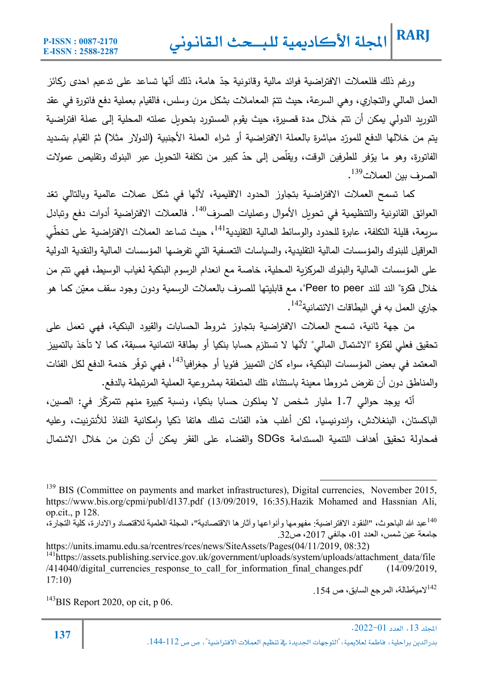ررغم ذلك فللعملات الافتراضية فوائد مالية وقانونية جدّ هامة، ذلك أنّها تساعد على تدعيم احدى ركائز العمل المالي والتجاري، وهي السرعة، حيث تتمّ المعاملات بشكل مرن وسلس، فالقيام بعملية دفع فاتورة في عقد التوريد الدولي يمكن أن تتم خلال مدة قصيرة، حيث يقوم المستورد بتحويل عملته المحلية إلى عملة افتراضية يتم من خلالها الدفع للمورّد مباشرة بالعملة الافتراضية أو شراء العملة الأجنبية (الدولار مثلا) ثمّ القيام بتسديد الفاتورة، وهو ما يوّفر للطرفين الوقت، ويقلص إلى حدّ كبير من تكلفة التحويل عبر البنوك وتقليص عمولات<br>-الصرف بین العملات<sup>139</sup>.

كما تسمح العملات الافتراضية بتجاوز الحدود الاقليمية، لأنّها في شكل عملات عالمية وبالتالي تعّد العوائق القانونية والتنظيمية في تحويل الأموال وعمليات الصرف<sup>140</sup>. فالعملات الافتراضية أدوات دفع وتبادل سريعة، قليلة التكلفة، عابرة للحدود والوسائط المالية التقليدية $\mathfrak{l}^{14}$ ، حيث تساعد العملات الافتراضىية على تخطّي العراقيل للبنوك والمؤسسات المالية التقليدية، والسياسات التعسفية التي تفرضها المؤسسات المالية والنقدية الدولية على المؤسسات المالية والبنوك المركزبة المحلية، خاصة مع انعدام الرسوم البنكية لغياب الوسيط، فهي تتم من خلال فكرة" الند للند Peer to peer"، مع قابليتها للصرف بالعملات الرسمية ودون وجود سقف معيّن كما هو جاري العمل به في البطاقات الائتمانية<sup>142</sup> .

من جهة ثانية، تسمح العملات الافتراضية بتجاوز شروط الحسابات والقيود البنكية، فهي تعمل على تحقيق فعلي لفكرة "الاشتمال المالي" لأنّها لا تستلزم حسابا بنكيا أو بطاقة ائتمانية مسبقة، كما لا تأخذ بالتمييز المعتمد في بعض المؤسسات البنكية، سواء كان التمييز فئويا أو جغرافيا<sup>143</sup>، فهي توفّر خدمة الدفع لكل الفئات والمناطق دون أن تفرض شروطا معينة باستثناء تلك المتعلقة بمشروعية العملية المرتبطة بالدفع.

أنّه يوجد حوالي 1.7 مليار شخص لا يملكون حسابا بنكيا، ونسبة كبيرة منهم تتمركّز في: الصين، الباكستان، البنغلادش، واندونيسيا، لكن أغلب هذه الفئات تملك هاتفا ذكيا وإمكانية النفاذ للأنترنيت، وعليه فمحاولة تحقیȘ أهداف التنمǽة المستدامة SDGs والقضاء على الفقر ǽمȞن أن تكون من خلال الاشتمال

 $154$ ميةطالة، المرجع السابق، ص  $154$  .

 $143$ BIS Report 2020, op cit, p 06.

<sup>&</sup>lt;sup>139</sup> BIS (Committee on payments and market infrastructures), Digital currencies, November 2015, https://www.bis.org/cpmi/publ/d137.pdf (13/09/2019, 16:35).Hazik Mohamed and Hassnian Ali, op.cit., p 128.

عبد الله الباحوث، "النقود الافتراضیة: مفھومھا وأنواعھا وآثارھا الاقتصادیة"، المجلة العلمیة للاقتصاد والادارة، كلیة التجارة، <sup>140</sup> جامعة عین شمس، العدد 01، جانفي 2017، ص32.

https://units.imamu.edu.sa/rcentres/rces/news/SiteAssets/Pages(04/11/2019, 08:32)

<sup>&</sup>lt;sup>141</sup>https://assets.publishing.service.gov.uk/government/uploads/system/uploads/attachment\_data/file /414040/digital currencies response to call for information final changes.pdf (14/09/2019, 17:10)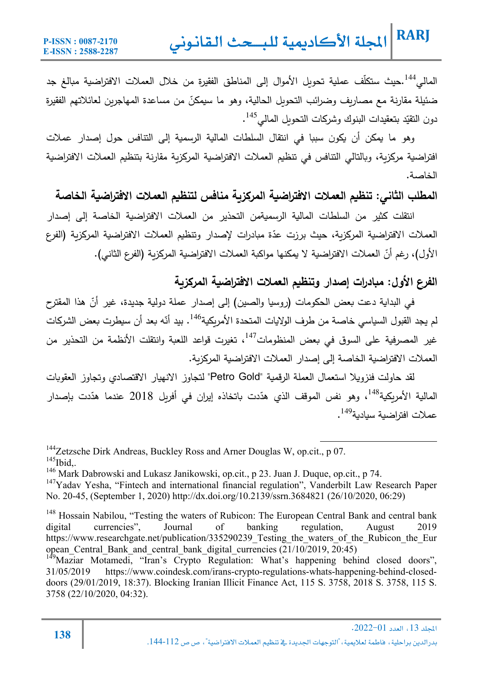المالي<sup>144</sup>.حيث ستكلّف عملية تحويل الأموال إلى المناطق الفقيرة من خلال العملات الافتراضية مبالغ جد ضئيلة مقارنة مع مصاريف وضرائب التحويل الحالية، وهو ما سيمكنّ من مساعدة المهاجرين لعائلاتهم الفقيرة دون التقيّد بتعقيدات البنوك وشركات التحويل المالمي<sup>145</sup>.

وهو ما يمكن أن يكون سببا في انتقال السلطات المالية الرسمية إلى التنافس حول إصدار عملات افتراضية مركزية، وبالتالي التنافس في تنظيم العملات الافتراضية المركزية مقارنة بتنظيم العملات الافتراضية الخاصة.

### **المطلب الثاني: تنظǻم العملات الافتراضǻة المرȜزȂة منافس لتنظǻم العملات الافتراضǻة الخاصة**

انتقلت كثير من السلطات المالية الرسميةمن التحذير من العملات الافتراضية الخاصة إلى إصدار العملات الافتراضية المركزبة، حيث برزت عدّة مبادرات لإصدار وتنظيم العملات الافتراضية المركزبة (الفرع الأول)، رغم أنّ العملات الافتراضية لا يمكنها مواكبة العملات الافتراضية المركزية (الفرع الثاني).

#### **الفرع الأول: مǺادرات إصدار وتنظǻم العملات الافتراضǻة المرȜزȂة**

في البداية دعت بعض الحكومات (روسيا والصين) إلى إصدار عملة دولية جديدة، غير أنّ هذا المقترح لم يجد القبول السياسي خاصـة من طرف الولايات المتحدة الأمريكية<sup>146</sup>. بيد أنّه بعد أن سيطرت بعض الشركات غیر المصرفیة علی السوق فی بعض المنظومات<sup>147</sup>، تغیرت قواعد اللعبة وانتقلت الأنظمة من التحذیر من العملات الافتراضية الخاصة إلى إصدار العملات الافتراضية المركزبة.

لقد حاولت فنزوǽلا استعمال العملة الرقمǽة "Gold Petro "لتجاوز الانهǽار الاقتصادȑ وتجاوز العقوǼات المالية الأمريكية<sup>148</sup>، وهو نفس الموقف الذي هدّدت باتخاذه إيران في أفريل 2018 عندما هدّدت بإصدار عملات افتراضية سيادية<sup>149</sup>.

<sup>144</sup>Zetzsche Dirk Andreas, Buckley Ross and Arner Douglas W, op.cit., p 07.  $^{145}$ Ibid,.

146 Mark Dabrowski and Lukasz Janikowski, op.cit., p 23. Juan J. Duque, op.cit., p 74.

 $147$ Yadav Yesha, "Fintech and international financial regulation", Vanderbilt Law Research Paper No. 20-45, (September 1, 2020) http://dx.doi.org/10.2139/ssrn.3684821 (26/10/2020, 06:29)

<sup>&</sup>lt;sup>148</sup> Hossain Nabilou, "Testing the waters of Rubicon: The European Central Bank and central bank digital currencies", Journal of banking regulation, August 2019 https://www.researchgate.net/publication/335290239 Testing the waters of the Rubicon the Eur opean\_Central\_Bank\_and\_central\_bank\_digital\_currencies (21/10/2019, 20:45)

<sup>&</sup>lt;sup>149</sup>Maziar Motamedi, "Iran's Crypto Regulation: What's happening behind closed doors", 31/05/2019 https://www.coindesk.com/irans-crypto-regulations-whats-happening-behind-closeddoors (29/01/2019, 18:37). Blocking Iranian Illicit Finance Act, 115 S. 3758, 2018 S. 3758, 115 S. 3758 (22/10/2020, 04:32).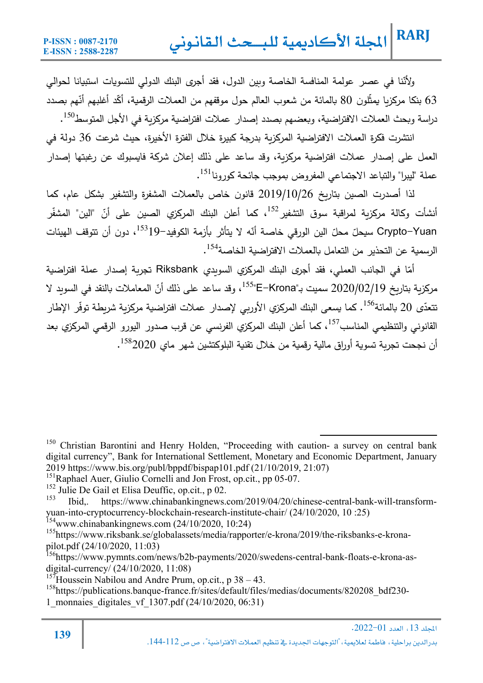ولأنّنا في عصر عولمة المنافسة الخاصة وبين الدول، فقد أجرى البنك الدولي للتسويات استبيانا لحوالي 63 بنكا مركِزيا يمثِّلون 80 بالمائة من شعوب العالم حول موقفهم من العملات الرقمية، أكَّد أغلبهم أنَّهم بصدد دراسة وبحث العملات الافتراضية، وبعضهم بصدد إصدار عملات افتراضية مركزية في الأجل المتوسط<sup>150</sup>.

انتشرت فكرة العملات الافتراضية المركزبة بدرجة كبيرة خلال الفترة الأخیرة، حیث شرعت 36 دولة في العمل على إصدار عملات افتراضية مركزبة، وقد ساعد على ذلك إعلان شركة فايسبوك عن رغبتها إصدار عملة "ليبرا" والتباعد الاجتماعي المفروض بموجب جائحة كورونا<sup>151</sup>.

لذا أصدرت الصین بتاریخ 2019/10/26 قانون خاص بالعملات المشفرة والتشفیر بشكل عام، كما أنشأت وكالة مركزية لمراقبة سوق التشفير<sup>152</sup>، كما أعلن البنك المركز*ي* الصبين على أنّ "الين" المشفّر Crypto–Yuan سيحلّ محلّ الين الورقي خاصـة أنّه لا يتأثر بأزمة الكوفيد–<sup>153</sup>، دون أن تتوقف الهيئات الرسمية عن التحذیر من التعامل بالعملات الافتراضية الخاصة<sup>154</sup>.

أمّا في الجانب العملي، فقد أجرى البنك المركزي السويدي Riksbank تجربة إصدار عملة افتراضية مركزية بتاريخ 2020/02/19 سميت بـ"E–Krona"، وقد ساعد على ذلك أنّ المعاملات بالنقد في السويد لا تتعدّى 20 بالمائة<sup>156</sup>. كما يسعى البنك المركزي الأوربي لإصدار عملات افتراضية مركزية شريطة توفّر الإطار القانوني والتنظيمي المناسب<sup>157</sup>، كما أعلن البنك المركزي الفرنسي عن قرب صدور البورو الرق*مي* المركزي بعد أن نجحت تجرية تسوية أوراق مالية رقمية من خلال تقنية البلوكتشين شهر ماي 2020<sup>158</sup>.

 $154$ www.chinabankingnews.com (24/10/2020, 10:24)

155https://www.riksbank.se/globalassets/media/rapporter/e-krona/2019/the-riksbanks-e-kronapilot.pdf (24/10/2020, 11:03)

<sup>156</sup>https://www.pymnts.com/news/b2b-payments/2020/swedens-central-bank-floats-e-krona-asdigital-currency/ (24/10/2020, 11:08)

<sup>157</sup>Houssein Nabilou and Andre Prum, op.cit., p  $38 - 43$ .

158https://publications.banque-france.fr/sites/default/files/medias/documents/820208\_bdf230- 1\_monnaies\_digitales\_vf\_1307.pdf (24/10/2020, 06:31)

<sup>&</sup>lt;sup>150</sup> Christian Barontini and Henry Holden, "Proceeding with caution- a survey on central bank digital currency", Bank for International Settlement, Monetary and Economic Department, January 2019 https://www.bis.org/publ/bppdf/bispap101.pdf (21/10/2019, 21:07)

<sup>&</sup>lt;sup>151</sup>Raphael Auer, Giulio Cornelli and Jon Frost, op.cit., pp 05-07.

<sup>&</sup>lt;sup>152</sup> Julie De Gail et Elisa Deuffic, op.cit., p 02.

<sup>153</sup> Ibid,. https://www.chinabankingnews.com/2019/04/20/chinese-central-bank-will-transformyuan-into-cryptocurrency-blockchain-research-institute-chair/ (24/10/2020, 10 :25)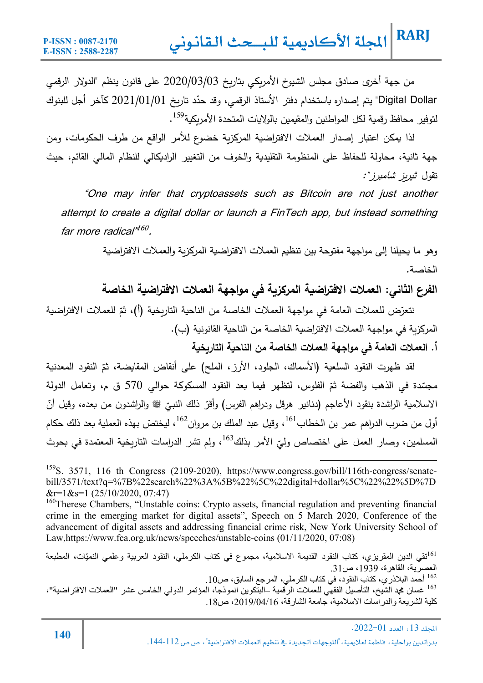من جهة أخرى صادق مجلس الشيوخ الأمريكي بتاريخ 2020/03/03 على قانون ينظم "الدولار الرقمي Digital Dollar" يتم إصداره باستخدام دفتر الأستاذ الرقمي، وقد حدّد تاريخ 2021/01/01 كآخر أجل للبنوك لتوفیر محافظ رقمیة لكل المواطنین والمقیمین بالولایات المتحدة الأمریكیة<sup>159</sup>.

لذا يمكن اعتبار إصدار العملات الافتراضية المركزبة خضوع للأمر الواقع من طرف الحكومات، ومن جهة ثانية، محاولة للحفاظ على المنظومة التقليدية والخوف من التغيير الراديكالي للنظام المالي القائم، حيث تقول "تیرȄز شامبرز":

"One may infer that cryptoassets such as Bitcoin are not just another attempt to create a digital dollar or launch a FinTech app, but instead something far more radical" <sup>160</sup>.

> وهو ما يحيلنا إلى مواجهة مفتوحة بين تنظيم العملات الافتراضية المركزبة والعملات الافتراضية الخاصة .

> **الفرع الثاني: العملات الافتراضǻة المرȜزȂة في مواجهة العملات الافتراضǻة الخاصة**

نتعرّض للعملات العامة في مواجهة العملات الخاصة من الناحية التاريخية (أ)، ثمّ للعملات الافتراضية المركزبة في مواجهة العملات الافتراضية الخاصة من الناحية القانونية (ب).

**أ. العملات العامة في مواجهة العملات الخاصة من الناحǻة التارȂخǻة** 

لقد ظهرت النقود السلعية (الأسماك، الجلود، الأرز، الملح) على أنقاض المقايضة، ثمّ النقود المعدنية مجسّدة في الذهب والفضـة ثمّ الفلوس، لتظهر فيما بعد النقود المسكوكـة حوالـي 570 ق م، وتعامل الدولـة الاسلامية الراشدة بنقود الأعاجم (دنانير هرقل ودراهم الفرس) وأقرّ ذلك النبـيّ ﷺ والراشدون من بـعده، وقيل أنّ<br>. أول من ضرب الدراهم عمر بن الخطاب<sup>161</sup>، وقيل عبد الملك بن مروان<sup>162</sup>، ليختصّ بهذه العملية بعد ذلك حكام المسلمين، وصار العمل على اختصاص وليّ الأمر بذلك<sup>163</sup>، ولم تشر الدراسات التاريخية المعتمدة في بحوث

تقي الدین المقریزي، كتاب النقود القدیمة الاسلامیة، مجموع في كتاب الكرملي، النقود العربیة وعلمي النمیّات، المطبعة <sup>161</sup> العصرية، القاهرة، 1939، ص31. .<br><sup>162</sup> أحمد البلاذري، كتاب النقود، في كتاب الكرملي، المرجع السابق، ص10 . 163 غسان محمد الشیخ، التأصیل الفقھي للعملات الرقمیة –البتكوین انموذجا، المؤتمر الدولي الخامس عشر "العملات الافتراضیة"، كلیة الشریعة والدراسات الاسلامیة، جامعة الشارقة، ،2019/04/16 ص.18

<sup>&</sup>lt;sup>159</sup>S. 3571, 116 th Congress (2109-2020), https://www.congress.gov/bill/116th-congress/senatebill/3571/text?q=%7B%22search%22%3A%5B%22%5C%22digital+dollar%5C%22%22%5D%7D  $&$ r=1&s=1 (25/10/2020, 07:47)

<sup>&</sup>lt;sup>160</sup>Therese Chambers, "Unstable coins: Crypto assets, financial regulation and preventing financial crime in the emerging market for digital assets", Speech on 5 March 2020, Conference of the advancement of digital assets and addressing financial crime risk, New York University School of Law,https://www.fca.org.uk/news/speeches/unstable-coins (01/11/2020, 07:08)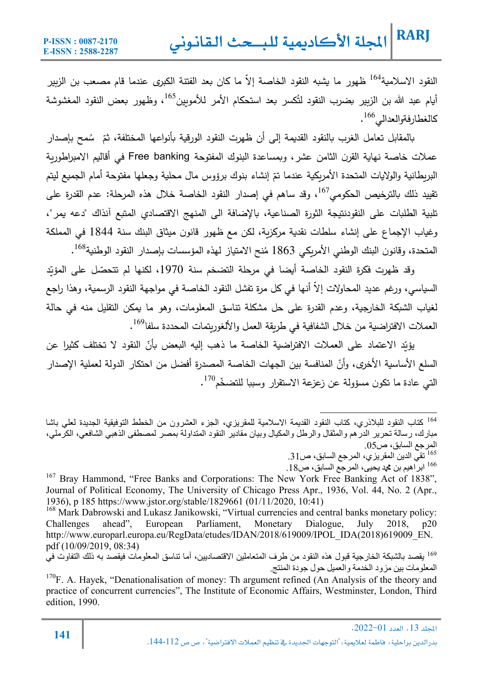النقود الاسلامية<sup>164</sup> ظهور ما يشبه النقود الخاصـة إلاّ ما كان بعد الفتنة الكبرى عندما قام مصـعب بن الزبير أيام عبد الله بن الزبير بضرب النقود لتُكسر بعد استحكام الأمر للأمويين<sup>165</sup>، وظهور بعض النقود المغشوشة كالغطارفةوالعدالي 166.

بالمقابل تعامل الغرب بالنقود القديمة إلى أن ظهرت النقود الورقية بأنواعها المختلفة، ثمّ سُمح بإصدار عملات خاصة نهاية القرن الثامن عشر، وبمساعدة البنوك المفتوحة Free banking في أقاليم الامبراطورية البريطانية والولايات المتحدة الأمريكية عندما تمّ إنشاء بنوك برؤوس مال محلية وجعلها مفتوحة أمام الجميع ليتم تقييد ذلك بالترخيص الحكومى<sup>167</sup>، وقد ساهم في إصدار النقود الخاصة خلال هذه المرحلة: عدم القدرة على تلبية الطلبات على النقودنتيجة الثورة الصناعية، بالإضافة الى المنهج الاقتصادي المتبع آنذاك "دعه يمر"، وغياب الإجماع على إنشاء سلطات نقدية مركزية، لكن مع ظهور قانون ميثاق البنك سنة 1844 في المملكة المتحدة، وقانون البنك الوطني الأمريكي 1863 مُنح الامتياز لهذه المؤسسات بإصدار النقود الوطنية<sup>168</sup>.

رقد ظهرت فكرة النقود الخاصـة أيضـا في مرحلة التضخم سنة 1970، لكنها لم تتحصّل على المؤيّد السياسي، ورغم عديد المحاولات إلا أنـها في كل مرة تفشل النقود الـخاصـة في مواجـهة النقود الرسمية، وهذا راجـع لغياب الشبكة الخارجية، وعدم القدرة على حل مشكلة تناسق المعلومات، وهو ما بمكن التقليل منه في حالة العملات الافتراضية من خلال الشفافية في طريقة العمل والألغوريتمات المحددة سلفا<sup>169</sup>.

ءِّيّد الاعتماد على العملات الافتراضية الخاصة ما ذهب إليه البعض بأنّ النقود لا تختلف كثيرا عن<br>. السلع الأساسية الأخرى، وأنّ المنافسة بين الجهات الخاصة المصدرة أفضل من احتكار الدولة لعملية الإصدار التي عادة ما تكون مسؤولة عن زعزعة الاستقرار وسببا للتضخّم<sup>170</sup>.

كتاب النقود للبلاذري، كتاب النقود القدیمة الاسلامیة للمقریزي، الجزء العشرون من الخطط التوفیقیة الجدیدة لعلي باشا <sup>164</sup> مبارك، رسالة تحریر الدرھم والمثقال والرطل والمكیال وبیان مقادیر النقود المتداولة بمصر لمصطفى الذھبي الشافعي، الكرملي، المرجع السابق، ص.05

تقي الدین المقریز ي، المرجع السابق، ص31 1.  $\sim 165$ 

ابر اهیم بن محد یحیی، المرجع السابق، ص $18$  .

<sup>&</sup>lt;sup>167</sup> Bray Hammond, "Free Banks and Corporations: The New York Free Banking Act of 1838", Journal of Political Economy, The University of Chicago Press Apr., 1936, Vol. 44, No. 2 (Apr., 1936), p 185 https://www.jstor.org/stable/1829661 (01/11/2020, 10:41)

<sup>&</sup>lt;sup>168</sup> Mark Dabrowski and Lukasz Janikowski, "Virtual currencies and central banks monetary policy: Challenges ahead", European Parliament, Monetary Dialogue, July 2018, p20 http://www.europarl.europa.eu/RegData/etudes/IDAN/2018/619009/IPOL\_IDA(2018)619009\_EN. pdf (10/09/2019, 08:34)

یقصد بالشبكة الخارجیة قبول ھذه النقود من طرف المتعاملین الاقتصادیین، أما تناسق المعلومات فیقصد بھ ذلك التفاوت في <sup>169</sup> المعلومات بین مزود الخدمة والعمیل حول جودة المنتج.

 $170F$ . A. Hayek, "Denationalisation of money: Th argument refined (An Analysis of the theory and practice of concurrent currencies", The Institute of Economic Affairs, Westminster, London, Third edition, 1990.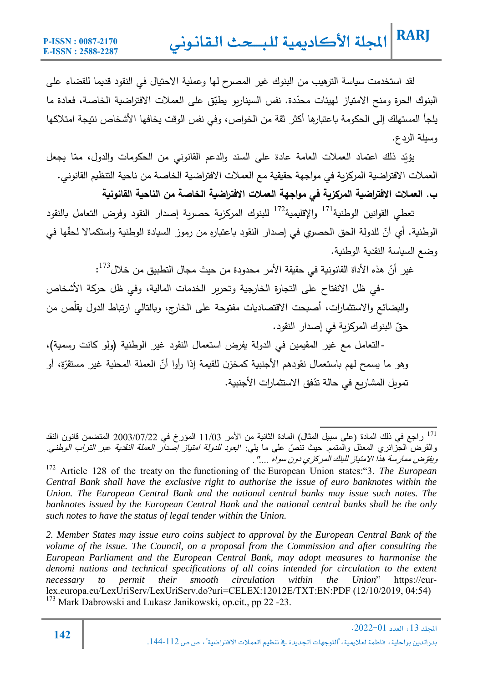لقد استخدمت سياسة الترهيب من البنوك غير المصرح لها وعملية الاحتيال في النقود قديما للقضاء على البنوك الحرة ومنح الامتياز لمهيئات محدّدة. نفس السيناريو يطبّق على العملات الافتراضية الخاصـة، فعادة ما يلجأ المستهلك إلى الحكومة باعتبارها أكثر ثقة من الخواص، وفي نفس الوقت يخافها الأشخاص نتيجة امتلاكها وسیلة الردع.

<u>ؤيّ</u>د ذلك اعتماد العملات العامة عادة على السند والدعم القانوني من الحكومات والدول، ممّا يجعل العملات الافتراضية المركزبة في مواجهة حقيقية مع العملات الافتراضية الخاصة من ناحية التنظيم القانوني. **ب. العملات الافتراضǻة المرȜزȂة في مواجهة العملات الافتراضǻة الخاصة من الناحǻة القانونǻة** 

تعطي القوانين الوطنية<sup>171</sup> والإقليمية<sup>172</sup> للبنوك المركزية حصرية إصدار النقود وفرض التعامل بالنقود الوطنية. أي أنّ للدولة الحق الحصري في إصدار النقود باعتباره من رموز السيادة الوطنية واستكمالا لحقّها في وضع السياسة النقدية الوطنية.

غير أنّ هذه الأداة القانونية في حقيقة الأمر محدودة من حيث مجال التطبيق من خلال<sup>173</sup>:

والبضائع والاستثمارات، أصبحت الاقتصاديات مفتوحة على الخارج، وبالتالي ارتباط الدول يقلّص من -في ظل الانفتاح على التجارة الخارجية وتحربر الخدمات المالية، وفي ظل حركة الأشخاص حقّ البنوك المركزبة في إصدار النقود.

-التعامل مع غير المقيمين في الدولة يفرض استعمال النقود غير الوطنية (ولو كانت رسمية)،<br>وهو ما يسمح لهم باستعمال نقودهم الأجنبية كمخزن للقيمة إذا رأوا أنّ العملة المحلية غير مستقرّة، أو التعامل مع غیر المقǽمین في الدولة ǽفرض استعمال النقود غیر الوطنǽة (ولو Ȟانت رسمǽة)، تمويل المشاريع في حالة تدّفق الاستثمارات الأجنبية.

*2. Member States may issue euro coins subject to approval by the European Central Bank of the volume of the issue. The Council, on a proposal from the Commission and after consulting the European Parliament and the European Central Bank, may adopt measures to harmonise the denomi nations and technical specifications of all coins intended for circulation to the extent necessary to permit their smooth circulation within the Union*" https://eurlex.europa.eu/LexUriServ/LexUriServ.do?uri=CELEX:12012E/TXT:EN:PDF (12/10/2019, 04:54) <sup>173</sup> Mark Dabrowski and Lukasz Janikowski, op.cit., pp 22 -23.

<sup>&</sup>lt;sup>171</sup> راجع في ذلك المادة (على سبيل المثال) المادة الثانية من الأمر 11/03 المؤرخ في 2003/07/22 المتضمن قانون النقد والقرض الـجزائري المعدّل والمتمم حيث تنصّ على ما يلي: *"يعود للدولة امتياز إصدار العملة النقدية عبر التراب الوطني.* .".... سواه دون المركزي للبنك الامتیاز ھذا ممارسة ویفوض ّ 172 Article 128 of the treaty on the functioning of the European Union states:"3. *The European* 

*Central Bank shall have the exclusive right to authorise the issue of euro banknotes within the Union. The European Central Bank and the national central banks may issue such notes. The banknotes issued by the European Central Bank and the national central banks shall be the only such notes to have the status of legal tender within the Union.*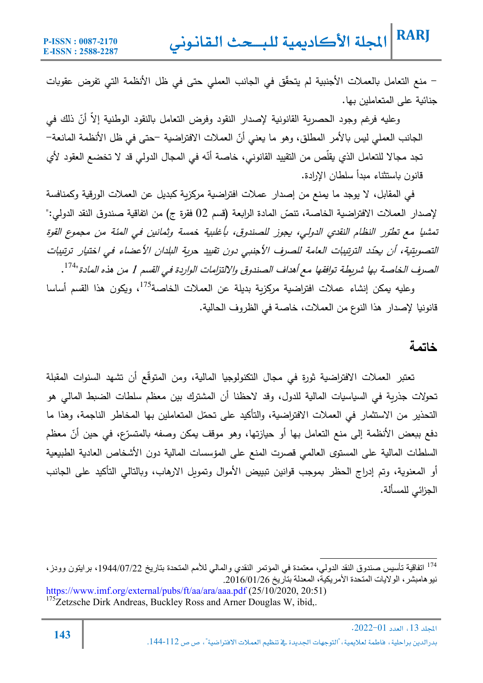- منع التعامل Ǽالعملات الأجنبǽة لم ّ یتحقȘ في الجانب العملي حتى في ظل الأنظمة التي تفرض عقوǼات جنائية على المتعاملين بها.

رعليه فرغم وجود الحصرية القانونية لإصدار النقود وفرض التعامل بالنقود الوطنية إلا أنّ ذلك في الجانب العملي ليس بالأمر المطلق، وهو ما يعني أنّ العملات الافتراضية –حتى في ظل الأنظمة المانعة– تجد مجالا للتعامل الذي يقلص من التقييد القانوني، خاصـة أنّـه في المجال الدولي قد لا تخضـع الـعقود لأي قانون Ǽاستثناء مبدأ سلطان الإرادة.

في المقابل، لا يوجد ما يمنع من إصدار عملات افتراضية مركزية كبديل عن العملات الورقية وكمنافسة لإصدار العملات الافتراضية الخاصة، تنصّ المادة الرابعة (قسم 02 فقرة ج) من اتفاقية صندوق النقد الدولي:" تمشيا مع تطوّر النظام النقدي الدولي، يجوز للصندوق، بأغلبية خمسة وثمانين في المئة من مجموع القوة التصويتية، أن يحدّد الترتييات العامة للصرف الأجنبي دون تقييد حرية البلدان الأعضاء في اختيار ترتييات الصرف الخاصة بها شريطة توافقها مع أهداف الصندوق والالتزامات الواردة في القسم 1 من هذه المادة"<sup>174</sup>.

وعليه يمكن إنشاء عملات افتراضية مركزية بديلة عن العملات الخاصة<sup>175</sup>، ويكون هذا القسم أساسا قانونيا لإصدار هذا النوع من العملات، خاصة في الظروف الحالية.

#### **خاتمة**

تعتبر العملات الافتراضية ثورة في مجال التكنولوجيا المالية، ومن المتوقّع أن تشهد السنوات المقبلة تحولات جذربة في السياسيات المالية للدول، وقد لاحظنا أن المشترك بين معظم سلطات الضبط المالي هو التحذير من الاستثمار في العملات الافتراضية، والتأكيد على تحمّل المتعاملين بها المخاطر الناجمة، وهذا ما نفع ببعض الأنظمة إلى منع التعامل بها أو حيازتها، وهو موقف يمكن وصفه بالمتسرّع، في حين أنّ معظم السلطات المالية على المستوى العالمي قصرت المنع على المؤسسات المالية دون الأشخاص العادية الطبيعية أو المعنوية، وتم إدراج الحظر بموجب قوانین تبییض الأموال وتموىل الارهاب، وبالتالي التأكید على الجانب الجزائي للمسألة.

https://www.imf.org/external/pubs/ft/aa/ara/aaa.pdf (25/10/2020, 20:51)  $175$ Zetzsche Dirk Andreas, Buckley Ross and Arner Douglas W, ibid,.

اتفاقیة تأسیس صندوق النقد الدولي، معتمدة في المؤتمر النقدي والمالي للأمم المتحدة بتاریخ ،1944/07/22 برایتون وودز، <sup>174</sup> نیوھامبشر، الولایات المتحدة الأمریكیة، المعدلة بتاریخ .2016/01/26